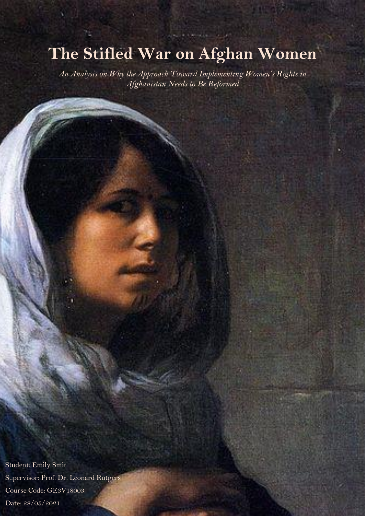# **The Stifled War on Afghan Women**

*An Analysis on Why the Approach Toward Implementing Women's Rights in Afghanistan Needs to Be Reformed*

Student: Emily Smit Supervisor: Prof. Dr. Leonard Rutgers Course Code: GE3V18003 Date: 28/05/2021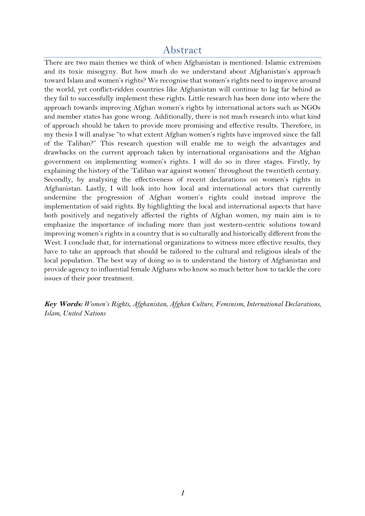## Abstract

There are two main themes we think of when Afghanistan is mentioned: Islamic extremism and its toxic misogyny. But how much do we understand about Afghanistan's approach toward Islam and women's rights? We recognise that women's rights need to improve around the world, yet conflict-ridden countries like Afghanistan will continue to lag far behind as they fail to successfully implement these rights. Little research has been done into where the approach towards improving Afghan women's rights by international actors such as NGOs and member states has gone wrong. Additionally, there is not much research into what kind of approach should be taken to provide more promising and effective results. Therefore, in my thesis I will analyse "to what extent Afghan women's rights have improved since the fall of the Taliban?" This research question will enable me to weigh the advantages and drawbacks on the current approach taken by international organisations and the Afghan government on implementing women's rights. I will do so in three stages. Firstly, by explaining the history of the 'Taliban war against women' throughout the twentieth century. Secondly, by analysing the effectiveness of recent declarations on women's rights in Afghanistan. Lastly, I will look into how local and international actors that currently undermine the progression of Afghan women's rights could instead improve the implementation of said rights. By highlighting the local and international aspects that have both positively and negatively affected the rights of Afghan women, my main aim is to emphasize the importance of including more than just western-centric solutions toward improving women's rights in a country that is so culturally and historically different from the West. I conclude that, for international organizations to witness more effective results, they have to take an approach that should be tailored to the cultural and religious ideals of the local population. The best way of doing so is to understand the history of Afghanistan and provide agency to influential female Afghans who know so much better how to tackle the core issues of their poor treatment.

**Key Words:** *Women's Rights, Afghanistan, Afghan Culture, Feminism, International Declarations, Islam, United Nations*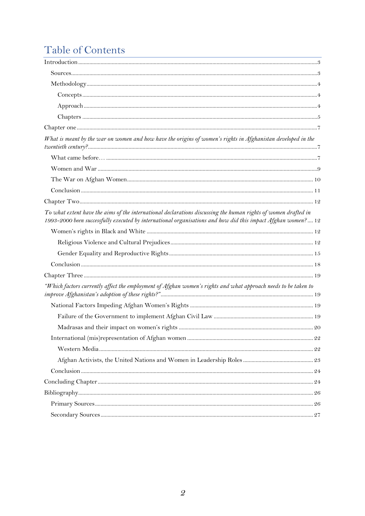# Table of Contents

| What is meant by the war on women and how have the origins of women's rights in Afghanistan developed in the                                                                                                                   |  |
|--------------------------------------------------------------------------------------------------------------------------------------------------------------------------------------------------------------------------------|--|
|                                                                                                                                                                                                                                |  |
|                                                                                                                                                                                                                                |  |
|                                                                                                                                                                                                                                |  |
|                                                                                                                                                                                                                                |  |
|                                                                                                                                                                                                                                |  |
| To what extent have the aims of the international declarations discussing the human rights of women drafted in<br>1993-2000 been successfully executed by international organisations and how did this impact Afghan women? 12 |  |
|                                                                                                                                                                                                                                |  |
|                                                                                                                                                                                                                                |  |
|                                                                                                                                                                                                                                |  |
|                                                                                                                                                                                                                                |  |
|                                                                                                                                                                                                                                |  |
| "Which factors currently affect the employment of Afghan women's rights and what approach needs to be taken to                                                                                                                 |  |
|                                                                                                                                                                                                                                |  |
|                                                                                                                                                                                                                                |  |
|                                                                                                                                                                                                                                |  |
|                                                                                                                                                                                                                                |  |
|                                                                                                                                                                                                                                |  |
|                                                                                                                                                                                                                                |  |
|                                                                                                                                                                                                                                |  |
|                                                                                                                                                                                                                                |  |
|                                                                                                                                                                                                                                |  |
|                                                                                                                                                                                                                                |  |
|                                                                                                                                                                                                                                |  |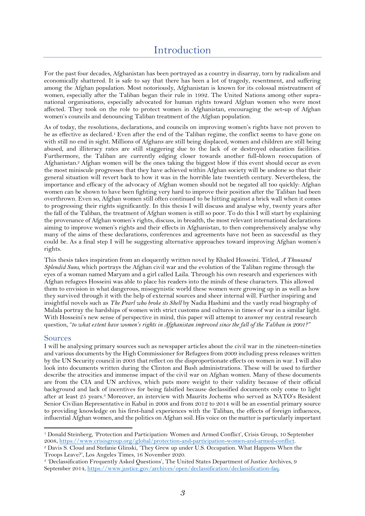<span id="page-3-0"></span>For the past four decades, Afghanistan has been portrayed as a country in disarray, torn by radicalism and economically shattered. It is safe to say that there has been a lot of tragedy, resentment, and suffering among the Afghan population. Most notoriously, Afghanistan is known for its colossal mistreatment of women, especially after the Taliban began their rule in 1992. The United Nations among other supranational organisations, especially advocated for human rights toward Afghan women who were most affected. They took on the role to protect women in Afghanistan, encouraging the set-up of Afghan women's councils and denouncing Taliban treatment of the Afghan population.

As of today, the resolutions, declarations, and councils on improving women's rights have not proven to be as effective as declared.<sup>1</sup> Even after the end of the Taliban regime, the conflict seems to have gone on with still no end in sight. Millions of Afghans are still being displaced, women and children are still being abused, and illiteracy rates are still staggering due to the lack of or destroyed education facilities. Furthermore, the Taliban are currently edging closer towards another full-blown reoccupation of Afghanistan.<sup>2</sup> Afghan women will be the ones taking the biggest blow if this event should occur as even the most miniscule progresses that they have achieved within Afghan society will be undone so that their general situation will revert back to how it was in the horrible late twentieth century. Nevertheless, the importance and efficacy of the advocacy of Afghan women should not be negated all too quickly: Afghan women can be shown to have been fighting very hard to improve their position after the Taliban had been overthrown. Even so, Afghan women still often continued to be hitting against a brick wall when it comes to progressing their rights significantly. In this thesis I will discuss and analyse why, twenty years after the fall of the Taliban, the treatment of Afghan women is still so poor. To do this I will start by explaining the provenance of Afghan women's rights, discuss, in breadth, the most relevant international declarations aiming to improve women's rights and their effects in Afghanistan, to then comprehensively analyse why many of the aims of these declarations, conferences and agreements have not been as successful as they could be. As a final step I will be suggesting alternative approaches toward improving Afghan women's rights.

This thesis takes inspiration from an eloquently written novel by Khaled Hosseini. Titled, *A Thousand Splendid Suns,* which portrays the Afghan civil war and the evolution of the Taliban regime through the eyes of a woman named Maryam and a girl called Laila. Through his own research and experiences with Afghan refugees Hosseini was able to place his readers into the minds of these characters. This allowed them to envision in what dangerous, misogynistic world these women were growing up in as well as how they survived through it with the help of external sources and sheer internal will. Further inspiring and insightful novels such as *The Pearl who broke its Shell* by Nadia Hashimi and the vastly read biography of Malala portray the hardships of women with strict customs and cultures in times of war in a similar light. With Hosseini's new sense of perspective in mind, this paper will attempt to answer my central research question, "*to what extent have women's rights in Afghanistan improved since the fall of the Taliban in 2001?"*

## <span id="page-3-1"></span>Sources

I will be analysing primary sources such as newspaper articles about the civil war in the nineteen-nineties and various documents by the High Commissioner for Refugees from 2009 including press releases written by the UN Security council in 2003 that reflect on the disproportionate effects on women in war. I will also look into documents written during the Clinton and Bush administrations. These will be used to further describe the atrocities and immense impact of the civil war on Afghan women. Many of these documents are from the CIA and UN archives, which puts more weight to their validity because of their official background and lack of incentives for being falsified because declassified documents only come to light after at least 25 years. <sup>3</sup> Moreover, an interview with Maurits Jochems who served as NATO's Resident Senior Civilian Representative in Kabul in 2008 and from 2012 to 2014 will be an essential primary source to providing knowledge on his first-hand experiences with the Taliban, the effects of foreign influences, influential Afghan women, and the politics on Afghan soil. His voice on the matter is particularly important

<sup>2</sup> Davis S. Cloud and Stefanie Glinski, 'They Grew up under U.S. Occupation. What Happens When the Troops Leave?', Los Angeles Times, 16 November 2020.

<sup>1</sup> Donald Steinberg, 'Protection and Participation: Women and Armed Conflict', Crisis Group, 10 September 2008[, https://www.crisisgroup.org/global/protection-and-participation-women-and-armed-conflict.](https://www.crisisgroup.org/global/protection-and-participation-women-and-armed-conflict)

<sup>3</sup> 'Declassification Frequently Asked Questions', The United States Department of Justice Archives, 9 September 2014[, https://www.justice.gov/archives/open/declassification/declassification-faq.](https://www.justice.gov/archives/open/declassification/declassification-faq)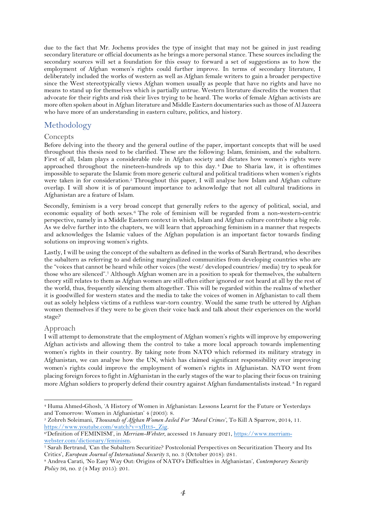due to the fact that Mr. Jochems provides the type of insight that may not be gained in just reading secondary literature or official documents as he brings a more personal stance. These sources including the secondary sources will set a foundation for this essay to forward a set of suggestions as to how the employment of Afghan women's rights could further improve. In terms of secondary literature, I deliberately included the works of western as well as Afghan female writers to gain a broader perspective since the West stereotypically views Afghan women usually as people that have no rights and have no means to stand up for themselves which is partially untrue. Western literature discredits the women that advocate for their rights and risk their lives trying to be heard. The works of female Afghan activists are more often spoken about in Afghan literature and Middle Eastern documentaries such as those of Al Jazeera who have more of an understanding in eastern culture, politics, and history.

## <span id="page-4-0"></span>Methodology

#### <span id="page-4-1"></span>**Concepts**

Before delving into the theory and the general outline of the paper, important concepts that will be used throughout this thesis need to be clarified. These are the following: Islam, feminism, and the subaltern. First of all, Islam plays a considerable role in Afghan society and dictates how women's rights were approached throughout the nineteen-hundreds up to this day. <sup>4</sup> Due to Sharia law, it is oftentimes impossible to separate the Islamic from more generic cultural and political traditions when women's rights were taken in for consideration.<sup>5</sup> Throughout this paper, I will analyse how Islam and Afghan culture overlap. I will show it is of paramount importance to acknowledge that not all cultural traditions in Afghanistan are a feature of Islam.

Secondly, feminism is a very broad concept that generally refers to the agency of political, social, and economic equality of both sexes.<sup>6</sup> The role of feminism will be regarded from a non-western-centric perspective, namely in a Middle Eastern context in which, Islam and Afghan culture contribute a big role. As we delve further into the chapters, we will learn that approaching feminism in a manner that respects and acknowledges the Islamic values of the Afghan population is an important factor towards finding solutions on improving women's rights.

Lastly, I will be using the concept of the subaltern as defined in the works of Sarah Bertrand, who describes the subaltern as referring to and defining marginalized communities from developing countries who are the "voices that cannot be heard while other voices (the west/ developed countries/ media) try to speak for those who are silenced".<sup>7</sup> Although Afghan women are in a position to speak for themselves, the subaltern theory still relates to them as Afghan women are still often either ignored or not heard at all by the rest of the world, thus, frequently silencing them altogether. This will be regarded within the realms of whether it is goodwilled for western states and the media to take the voices of women in Afghanistan to call them out as solely helpless victims of a ruthless war-torn country. Would the same truth be uttered by Afghan women themselves if they were to be given their voice back and talk about their experiences on the world stage?

#### <span id="page-4-2"></span>Approach

I will attempt to demonstrate that the employment of Afghan women's rights will improve by empowering Afghan activists and allowing them the control to take a more local approach towards implementing women's rights in their country. By taking note from NATO which reformed its military strategy in Afghanistan, we can analyse how the UN, which has claimed significant responsibility over improving women's rights could improve the employment of women's rights in Afghanistan. NATO went from placing foreign forces to fight in Afghanistan in the early stages of the war to placing their focus on training more Afghan soldiers to properly defend their country against Afghan fundamentalists instead. <sup>8</sup> In regard

<sup>4</sup> Huma Ahmed-Ghosh, 'A History of Women in Afghanistan: Lessons Learnt for the Future or Yesterdays and Tomorrow: Women in Afghanistan' 4 (2003): 8.

<sup>5</sup> Zohreh Soleimani, *Thousands of Afghan Women Jailed For 'Moral Crimes'*, To Kill A Sparrow, 2014, 11. [https://www.youtube.com/watch?v=xfItt3-\\_Zig.](https://www.youtube.com/watch?v=xfItt3-_Zig)

<sup>&</sup>lt;sup>6</sup>Definition of FEMINISM', in *Merriam-Webster*, accessed 18 January 2021, [https://www.merriam](https://www.merriam-webster.com/dictionary/feminism)[webster.com/dictionary/feminism.](https://www.merriam-webster.com/dictionary/feminism)

<sup>7</sup> Sarah Bertrand, 'Can the Subaltern Securitize? Postcolonial Perspectives on Securitization Theory and Its Critics', *European Journal of International Security* 3, no. 3 (October 2018): 281.

<sup>8</sup> Andrea Carati, 'No Easy Way Out: Origins of NATO's Difficulties in Afghanistan', *Contemporary Security Policy* 36, no. 2 (4 May 2015): 201.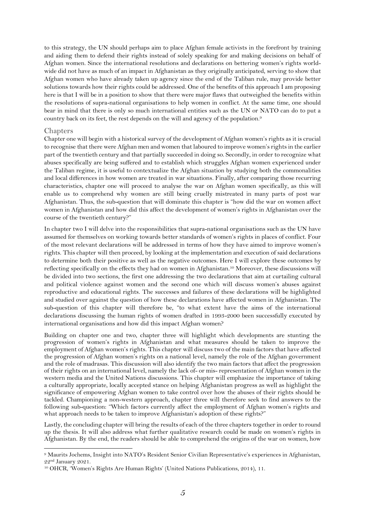to this strategy, the UN should perhaps aim to place Afghan female activists in the forefront by training and aiding them to defend their rights instead of solely speaking for and making decisions on behalf of Afghan women. Since the international resolutions and declarations on bettering women's rights worldwide did not have as much of an impact in Afghanistan as they originally anticipated, serving to show that Afghan women who have already taken up agency since the end of the Taliban rule, may provide better solutions towards how their rights could be addressed. One of the benefits of this approach I am proposing here is that I will be in a position to show that there were major flaws that outweighed the benefits within the resolutions of supra-national organisations to help women in conflict. At the same time, one should bear in mind that there is only so much international entities such as the UN or NATO can do to put a country back on its feet, the rest depends on the will and agency of the population.<sup>9</sup>

#### <span id="page-5-0"></span>Chapters

Chapter one will begin with a historical survey of the development of Afghan women's rights as it is crucial to recognise that there were Afghan men and women that laboured to improve women's rights in the earlier part of the twentieth century and that partially succeeded in doing so. Secondly, in order to recognize what abuses specifically are being suffered and to establish which struggles Afghan women experienced under the Taliban regime, it is useful to contextualize the Afghan situation by studying both the commonalities and local differences in how women are treated in war situations. Finally, after comparing those recurring characteristics, chapter one will proceed to analyse the war on Afghan women specifically, as this will enable us to comprehend why women are still being cruelly mistreated in many parts of post war Afghanistan. Thus, the sub-question that will dominate this chapter is "how did the war on women affect women in Afghanistan and how did this affect the development of women's rights in Afghanistan over the course of the twentieth century?"

In chapter two I will delve into the responsibilities that supra-national organisations such as the UN have assumed for themselves on working towards better standards of women's rights in places of conflict. Four of the most relevant declarations will be addressed in terms of how they have aimed to improve women's rights. This chapter will then proceed, by looking at the implementation and execution of said declarations to determine both their positive as well as the negative outcomes. Here I will explore these outcomes by reflecting specifically on the effects they had on women in Afghanistan.<sup>10</sup> Moreover, these discussions will be divided into two sections, the first one addressing the two declarations that aim at curtailing cultural and political violence against women and the second one which will discuss women's abuses against reproductive and educational rights. The successes and failures of these declarations will be highlighted and studied over against the question of how these declarations have affected women in Afghanistan. The sub-question of this chapter will therefore be, "to what extent have the aims of the international declarations discussing the human rights of women drafted in 1993-2000 been successfully executed by international organisations and how did this impact Afghan women?

Building on chapter one and two, chapter three will highlight which developments are stunting the progression of women's rights in Afghanistan and what measures should be taken to improve the employment of Afghan women's rights. This chapter will discuss two of the main factors that have affected the progression of Afghan women's rights on a national level, namely the role of the Afghan government and the role of madrasas. This discussion will also identify the two main factors that affect the progression of their rights on an international level, namely the lack of- or mis- representation of Afghan women in the western media and the United Nations discussions. This chapter will emphasize the importance of taking a culturally appropriate, locally accepted stance on helping Afghanistan progress as well as highlight the significance of empowering Afghan women to take control over how the abuses of their rights should be tackled. Championing a non-western approach, chapter three will therefore seek to find answers to the following sub-question: "Which factors currently affect the employment of Afghan women's rights and what approach needs to be taken to improve Afghanistan's adoption of these rights?"

Lastly, the concluding chapter will bring the results of each of the three chapters together in order to round up the thesis. It will also address what further qualitative research could be made on women's rights in Afghanistan. By the end, the readers should be able to comprehend the origins of the war on women, how

<sup>9</sup> Maurits Jochems, Insight into NATO's Resident Senior Civilian Representative's experiences in Afghanistan, 22nd January 2021.

<sup>10</sup> OHCR, 'Women's Rights Are Human Rights' (United Nations Publications, 2014), 11.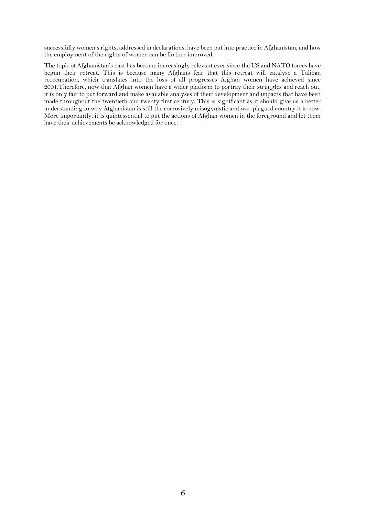successfully women's rights, addressed in declarations, have been put into practice in Afghanistan, and how the employment of the rights of women can be further improved.

The topic of Afghanistan's past has become increasingly relevant ever since the US and NATO forces have begun their retreat. This is because many Afghans fear that this retreat will catalyse a Taliban reoccupation, which translates into the loss of all progresses Afghan women have achieved since 2001.Therefore, now that Afghan women have a wider platform to portray their struggles and reach out, it is only fair to put forward and make available analyses of their development and impacts that have been made throughout the twentieth and twenty first century. This is significant as it should give us a better understanding to why Afghanistan is still the corrosively misogynistic and war-plagued country it is now. More importantly, it is quintessential to put the actions of Afghan women in the foreground and let them have their achievements be acknowledged for once.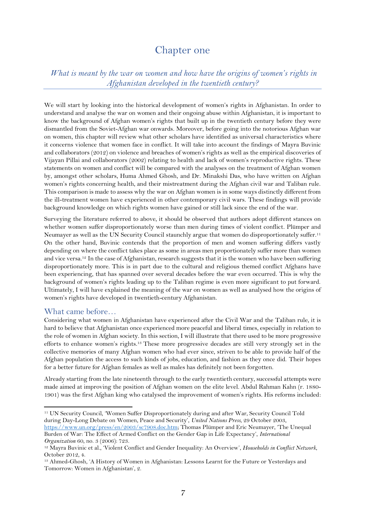## Chapter one

<span id="page-7-1"></span><span id="page-7-0"></span>*What is meant by the war on women and how have the origins of women's rights in Afghanistan developed in the twentieth century?*

We will start by looking into the historical development of women's rights in Afghanistan. In order to understand and analyse the war on women and their ongoing abuse within Afghanistan, it is important to know the background of Afghan women's rights that built up in the twentieth century before they were dismantled from the Soviet-Afghan war onwards. Moreover, before going into the notorious Afghan war on women, this chapter will review what other scholars have identified as universal characteristics where it concerns violence that women face in conflict. It will take into account the findings of Mayra Buvinic and collaborators (2012) on violence and breaches of women's rights as well as the empirical discoveries of Vijayan Pillai and collaborators (2002) relating to health and lack of women's reproductive rights. These statements on women and conflict will be compared with the analyses on the treatment of Afghan women by, amongst other scholars, Huma Ahmed Ghosh, and Dr. Minakshi Das, who have written on Afghan women's rights concerning health, and their mistreatment during the Afghan civil war and Taliban rule. This comparison is made to assess why the war on Afghan women is in some ways distinctly different from the ill-treatment women have experienced in other contemporary civil wars. These findings will provide background knowledge on which rights women have gained or still lack since the end of the war.

Surveying the literature referred to above, it should be observed that authors adopt different stances on whether women suffer disproportionately worse than men during times of violent conflict. Plümper and Neumayer as well as the UN Security Council staunchly argue that women do disproportionately suffer.<sup>11</sup> On the other hand, Buvinic contends that the proportion of men and women suffering differs vastly depending on where the conflict takes place as some in areas men proportionately suffer more than women and vice versa.<sup>12</sup> In the case of Afghanistan, research suggests that it is the women who have been suffering disproportionately more. This is in part due to the cultural and religious themed conflict Afghans have been experiencing, that has spanned over several decades before the war even occurred. This is why the background of women's rights leading up to the Taliban regime is even more significant to put forward. Ultimately, I will have explained the meaning of the war on women as well as analysed how the origins of women's rights have developed in twentieth-century Afghanistan.

#### <span id="page-7-2"></span>What came before…

Considering what women in Afghanistan have experienced after the Civil War and the Taliban rule, it is hard to believe that Afghanistan once experienced more peaceful and liberal times, especially in relation to the role of women in Afghan society. In this section, I will illustrate that there used to be more progressive efforts to enhance women's rights.<sup>13</sup> These more progressive decades are still very strongly set in the collective memories of many Afghan women who had ever since, striven to be able to provide half of the Afghan population the access to such kinds of jobs, education, and fashion as they once did. Their hopes for a better future for Afghan females as well as males has definitely not been forgotten.

Already starting from the late nineteenth through to the early twentieth century, successful attempts were made aimed at improving the position of Afghan women on the elite level. Abdul Rahman Kahn (r. 1880- 1901) was the first Afghan king who catalysed the improvement of women's rights. His reforms included:

<sup>11</sup> UN Security Council, 'Women Suffer Disproportionately during and after War, Security Council Told during Day-Long Debate on Women, Peace and Security', *United Nations Press*, 29 October 2003, [https://www.un.org/press/en/2003/sc7908.doc.htm;](https://www.un.org/press/en/2003/sc7908.doc.htm) Thomas Plümper and Eric Neumayer, 'The Unequal

Burden of War: The Effect of Armed Conflict on the Gender Gap in Life Expectancy', *International Organization* 60, no. 3 (2006): 723.

<sup>12</sup> Mayra Buvinic et al., 'Violent Conflict and Gender Inequality: An Overview', *Households in Conflict Network*, October 2012, 4.

<sup>13</sup> Ahmed-Ghosh, 'A History of Women in Afghanistan: Lessons Learnt for the Future or Yesterdays and Tomorrow: Women in Afghanistan', 2.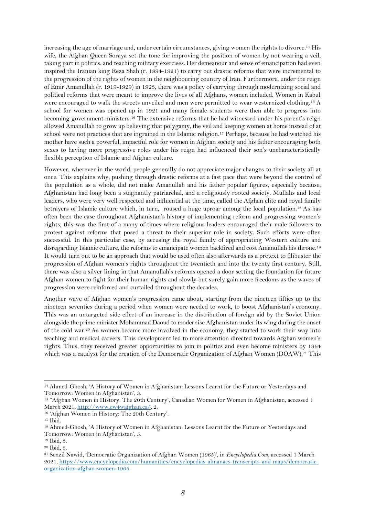increasing the age of marriage and, under certain circumstances, giving women the rights to divorce.<sup>14</sup> His wife, the Afghan Queen Soraya set the tone for improving the position of women by not wearing a veil, taking part in politics, and teaching military exercises. Her demeanour and sense of emancipation had even inspired the Iranian king Reza Shah (r. 1894-1921) to carry out drastic reforms that were incremental to the progression of the rights of women in the neighbouring country of Iran. Furthermore, under the reign of Emir Amanullah (r. 1919-1929) in 1923, there was a policy of carrying through modernizing social and political reforms that were meant to improve the lives of all Afghans, women included. Women in Kabul were encouraged to walk the streets unveiled and men were permitted to wear westernized clothing.<sup>15</sup> A school for women was opened up in 1921 and many female students were then able to progress into becoming government ministers.<sup>16</sup> The extensive reforms that he had witnessed under his parent's reign allowed Amanullah to grow up believing that polygamy, the veil and keeping women at home instead of at school were not practices that are ingrained in the Islamic religion.<sup>17</sup> Perhaps, because he had watched his mother have such a powerful, impactful role for women in Afghan society and his father encouraging both sexes to having more progressive roles under his reign had influenced their son's uncharacteristically flexible perception of Islamic and Afghan culture.

However, wherever in the world, people generally do not appreciate major changes to their society all at once. This explains why, pushing through drastic reforms at a fast pace that were beyond the control of the population as a whole, did not make Amanullah and his father popular figures, especially because, Afghanistan had long been a stagnantly patriarchal, and a religiously rooted society. Mullahs and local leaders, who were very well respected and influential at the time, called the Afghan elite and royal family betrayers of Islamic culture which, in turn, roused a huge uproar among the local population.<sup>18</sup> As has often been the case throughout Afghanistan's history of implementing reform and progressing women's rights, this was the first of a many of times where religious leaders encouraged their male followers to protest against reforms that posed a threat to their superior role in society. Such efforts were often successful. In this particular case, by accusing the royal family of appropriating Western culture and disregarding Islamic culture, the reforms to emancipate women backfired and cost Amanullah his throne.<sup>19</sup> It would turn out to be an approach that would be used often also afterwards as a pretext to filibuster the progression of Afghan women's rights throughout the twentieth and into the twenty first century. Still, there was also a silver lining in that Amanullah's reforms opened a door setting the foundation for future Afghan women to fight for their human rights and slowly but surely gain more freedoms as the waves of progression were reinforced and curtailed throughout the decades.

Another wave of Afghan women's progression came about, starting from the nineteen fifties up to the nineteen seventies during a period when women were needed to work, to boost Afghanistan's economy. This was an untargeted side effect of an increase in the distribution of foreign aid by the Soviet Union alongside the prime minister Mohammad Daoud to modernise Afghanistan under its wing during the onset of the cold war.<sup>20</sup> As women became more involved in the economy, they started to work their way into teaching and medical careers. This development led to more attention directed towards Afghan women's rights. Thus, they received greater opportunities to join in politics and even become ministers by 1964 which was a catalyst for the creation of the Democratic Organization of Afghan Women (DOAW).<sup>21</sup> This

<sup>14</sup> Ahmed-Ghosh, 'A History of Women in Afghanistan: Lessons Learnt for the Future or Yesterdays and Tomorrow: Women in Afghanistan', 3.

<sup>15</sup> ''Afghan Women in History: The 20th Century', Canadian Women for Women in Afghanistan, accessed 1 March 2021, [http://www.cw4wafghan.ca/,](http://www.cw4wafghan.ca/) 2.

<sup>16</sup> 'Afghan Women in History: The 20th Century'.

 $17$  Ibid.

<sup>18</sup> Ahmed-Ghosh, 'A History of Women in Afghanistan: Lessons Learnt for the Future or Yesterdays and Tomorrow: Women in Afghanistan', 5.

<sup>19</sup> Ibid, 3.

<sup>20</sup> Ibid, 6.

<sup>21</sup> Senzil Nawid, 'Democratic Organization of Afghan Women (1965)', in *Encyclopedia.Com*, accessed 1 March 2021[, https://www.encyclopedia.com/humanities/encyclopedias-almanacs-transcripts-and-maps/democratic](https://www.encyclopedia.com/humanities/encyclopedias-almanacs-transcripts-and-maps/democratic-organization-afghan-women-1965)[organization-afghan-women-1965.](https://www.encyclopedia.com/humanities/encyclopedias-almanacs-transcripts-and-maps/democratic-organization-afghan-women-1965)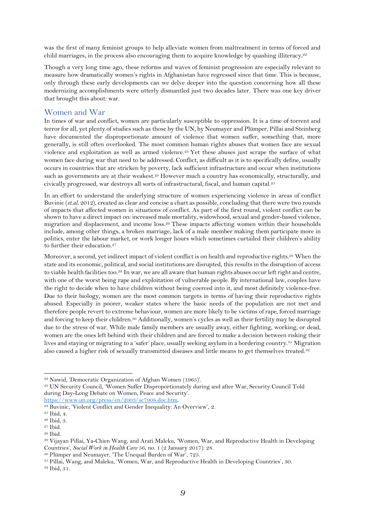was the first of many feminist groups to help alleviate women from maltreatment in terms of forced and child marriages, in the process also encouraging them to acquire knowledge by quashing illiteracy**.** 22

Though a very long time ago, these reforms and waves of feminist progression are especially relevant to measure how dramatically women's rights in Afghanistan have regressed since that time. This is because, only through these early developments can we delve deeper into the question concerning how all these modernizing accomplishments were utterly dismantled just two decades later. There was one key driver that brought this about: war.

### <span id="page-9-0"></span>Women and War

In times of war and conflict, women are particularly susceptible to oppression. It is a time of torrent and terror for all, yet plenty of studies such as those by the UN, by Neumayer and Plümper, Pillai and Steinberg have documented the disproportionate amount of violence that women suffer, something that, more generally, is still often overlooked. The most common human rights abuses that women face are sexual violence and exploitation as well as armed violence.<sup>23</sup> Yet these abuses just scrape the surface of what women face during war that need to be addressed. Conflict, as difficult as it is to specifically define, usually occurs in countries that are stricken by poverty, lack sufficient infrastructure and occur when institutions such as governments are at their weakest.<sup>24</sup> However much a country has economically, structurally, and civically progressed, war destroys all sorts of infrastructural, fiscal, and human capital.<sup>25</sup>

In an effort to understand the underlying structure of women experiencing violence in areas of conflict Buvinic (*et.al.* 2012), created as clear and concise a chart as possible, concluding that there were two rounds of impacts that affected women in situations of conflict. As part of the first round, violent conflict can be shown to have a direct impact on: increased male mortality, widowhood, sexual and gender-based violence, migration and displacement, and income loss.<sup>26</sup> These impacts affecting women within their households include, among other things, a broken marriage, lack of a male member making them participate more in politics, enter the labour market, or work longer hours which sometimes curtailed their children's ability to further their education.<sup>27</sup>

Moreover, a second, yet indirect impact of violent conflict is on health and reproductive rights.<sup>28</sup> When the state and its economic, political, and social institutions are disrupted, this results in the disruption of access to viable health facilities too.<sup>29</sup> In war, we are all aware that human rights abuses occur left right and centre, with one of the worst being rape and exploitation of vulnerable people. By international law, couples have the right to decide when to have children without being coerced into it, and most definitely violence-free. Due to their biology, women are the most common targets in terms of having their reproductive rights abused. Especially in poorer, weaker states where the basic needs of the population are not met and therefore people revert to extreme behaviour, women are more likely to be victims of rape, forced marriage and forcing to keep their children.<sup>30</sup> Additionally, women's cycles as well as their fertility may be disrupted due to the stress of war. While male family members are usually away, either fighting, working, or dead, women are the ones left behind with their children and are forced to make a decision between risking their lives and staying or migrating to a 'safer' place, usually seeking asylum in a bordering country.<sup>31</sup> Migration also caused a higher risk of sexually transmitted diseases and little means to get themselves treated.<sup>32</sup>

<sup>22</sup> Nawid, 'Democratic Organization of Afghan Women (1965)'.

<sup>23</sup> UN Security Council, 'Women Suffer Disproportionately during and after War, Security Council Told during Day-Long Debate on Women, Peace and Security'. [https://www.un.org/press/en/2003/sc7908.doc.htm.](https://www.un.org/press/en/2003/sc7908.doc.htm)

<sup>&</sup>lt;sup>24</sup> Buvinic, 'Violent Conflict and Gender Inequality: An Overview', 2.

<sup>25</sup> Ibid, 4.

<sup>26</sup> Ibid, 3.

<sup>27</sup> Ibid.

<sup>28</sup> Ibid.

<sup>29</sup> Vijayan Pillai, Ya-Chien Wang, and Arati Maleku, 'Women, War, and Reproductive Health in Developing Countries', *Social Work in Health Care* 56, no. 1 (2 January 2017): 28.

<sup>30</sup> Plümper and Neumayer, 'The Unequal Burden of War', 725.

<sup>31</sup> Pillai, Wang, and Maleku, 'Women, War, and Reproductive Health in Developing Countries', 30.

<sup>32</sup> Ibid, 31.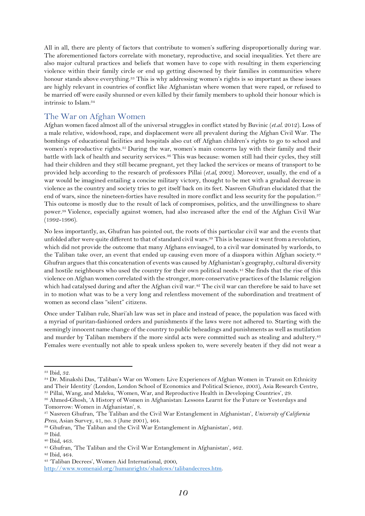All in all, there are plenty of factors that contribute to women's suffering disproportionally during war. The aforementioned factors correlate with monetary, reproductive, and social inequalities. Yet there are also major cultural practices and beliefs that women have to cope with resulting in them experiencing violence within their family circle or end up getting disowned by their families in communities where honour stands above everything.<sup>33</sup> This is why addressing women's rights is so important as these issues are highly relevant in countries of conflict like Afghanistan where women that were raped, or refused to be married off were easily shunned or even killed by their family members to uphold their honour which is intrinsic to Islam.<sup>34</sup>

## <span id="page-10-0"></span>The War on Afghan Women

Afghan women faced almost all of the universal struggles in conflict stated by Buvinic (*et.al*. 2012). Loss of a male relative, widowhood, rape, and displacement were all prevalent during the Afghan Civil War. The bombings of educational facilities and hospitals also cut off Afghan children's rights to go to school and women's reproductive rights.<sup>35</sup> During the war, women's main concerns lay with their family and their battle with lack of health and security services.<sup>36</sup> This was because: women still had their cycles, they still had their children and they still became pregnant, yet they lacked the services or means of transport to be provided help according to the research of professors Pillai (*et.al,* 2002*)*. Moreover, usually, the end of a war would be imagined entailing a concise military victory, thought to be met with a gradual decrease in violence as the country and society tries to get itself back on its feet. Nasreen Ghufran elucidated that the end of wars, since the nineteen-forties have resulted in more conflict and less security for the population.<sup>37</sup> This outcome is mostly due to the result of lack of compromises, politics, and the unwillingness to share power.<sup>38</sup> Violence, especially against women, had also increased after the end of the Afghan Civil War (1992-1996).

No less importantly, as, Ghufran has pointed out, the roots of this particular civil war and the events that unfolded after were quite different to that of standard civil wars.<sup>39</sup> This is because it went from a revolution, which did not provide the outcome that many Afghans envisaged, to a civil war dominated by warlords, to the Taliban take over, an event that ended up causing even more of a diaspora within Afghan society.<sup>40</sup> Ghufran argues that this concatenation of events was caused by Afghanistan's geography, cultural diversity and hostile neighbours who used the country for their own political needs.<sup>41</sup> She finds that the rise of this violence on Afghan women correlated with the stronger, more conservative practices of the Islamic religion which had catalysed during and after the Afghan civil war.<sup>42</sup> The civil war can therefore be said to have set in to motion what was to be a very long and relentless movement of the subordination and treatment of women as second class "silent" citizens.

Once under Taliban rule, Shari'ah law was set in place and instead of peace, the population was faced with a myriad of puritan-fashioned orders and punishments if the laws were not adhered to. Starting with the seemingly innocent name change of the country to public beheadings and punishments as well as mutilation and murder by Taliban members if the more sinful acts were committed such as stealing and adultery.<sup>43</sup> Females were eventually not able to speak unless spoken to, were severely beaten if they did not wear a

<sup>35</sup> Pillai, Wang, and Maleku, 'Women, War, and Reproductive Health in Developing Countries', 29.

<sup>33</sup> Ibid, 32.

<sup>34</sup> Dr. Minakshi Das, 'Taliban's War on Women: Live Experiences of Afghan Women in Transit on Ethnicity and Their Identity' (London, London School of Economics and Political Science, 2003), Asia Research Centre,

<sup>36</sup> Ahmed-Ghosh, 'A History of Women in Afghanistan: Lessons Learnt for the Future or Yesterdays and Tomorrow: Women in Afghanistan', 8.

<sup>37</sup> Nasreen Ghufran, 'The Taliban and the Civil War Entanglement in Afghanistan', *University of California Press*, Asian Survey, 41, no. 3 (June 2001), 464.

<sup>38</sup> Ghufran, 'The Taliban and the Civil War Entanglement in Afghanistan', 462.

<sup>39</sup> Ibid.

<sup>40</sup> Ibid, 463.

<sup>&</sup>lt;sup>41</sup> Ghufran, 'The Taliban and the Civil War Entanglement in Afghanistan', 462.

<sup>42</sup> Ibid, 464.

<sup>43</sup> 'Taliban Decrees', Women Aid International, 2000,

[http://www.womenaid.org/humanrights/shadows/talibandecrees.htm.](http://www.womenaid.org/humanrights/shadows/talibandecrees.htm)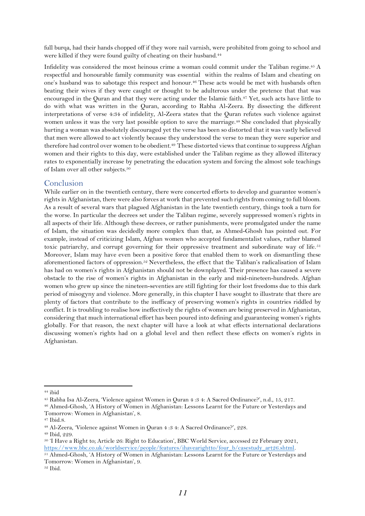full burqa, had their hands chopped off if they wore nail varnish, were prohibited from going to school and were killed if they were found guilty of cheating on their husband.<sup>44</sup>

Infidelity was considered the most heinous crime a woman could commit under the Taliban regime. <sup>45</sup> A respectful and honourable family community was essential within the realms of Islam and cheating on one's husband was to sabotage this respect and honour.<sup>46</sup> These acts would be met with husbands often beating their wives if they were caught or thought to be adulterous under the pretence that that was encouraged in the Quran and that they were acting under the Islamic faith.<sup>47</sup> Yet, such acts have little to do with what was written in the Quran, according to Rabha Al-Zeera. By dissecting the different interpretations of verse 4:34 of infidelity, Al-Zeera states that the Quran refutes such violence against women unless it was the very last possible option to save the marriage.<sup>48</sup> She concluded that physically hurting a woman was absolutely discouraged yet the verse has been so distorted that it was vastly believed that men were allowed to act violently because they understood the verse to mean they were superior and therefore had control over women to be obedient.<sup>49</sup> These distorted views that continue to suppress Afghan women and their rights to this day, were established under the Taliban regime as they allowed illiteracy rates to exponentially increase by penetrating the education system and forcing the almost sole teachings of Islam over all other subjects.<sup>50</sup>

### <span id="page-11-0"></span>**Conclusion**

While earlier on in the twentieth century, there were concerted efforts to develop and guarantee women's rights in Afghanistan, there were also forces at work that prevented such rights from coming to full bloom. As a result of several wars that plagued Afghanistan in the late twentieth century, things took a turn for the worse. In particular the decrees set under the Taliban regime, severely suppressed women's rights in all aspects of their life. Although these decrees, or rather punishments, were promulgated under the name of Islam, the situation was decidedly more complex than that, as Ahmed-Ghosh has pointed out. For example, instead of criticizing Islam, Afghan women who accepted fundamentalist values, rather blamed toxic patriarchy, and corrupt governing for their oppressive treatment and subordinate way of life.<sup>51</sup> Moreover, Islam may have even been a positive force that enabled them to work on dismantling these aforementioned factors of oppression.<sup>52</sup> Nevertheless, the effect that the Taliban's radicalisation of Islam has had on women's rights in Afghanistan should not be downplayed. Their presence has caused a severe obstacle to the rise of women's rights in Afghanistan in the early and mid-nineteen-hundreds. Afghan women who grew up since the nineteen-seventies are still fighting for their lost freedoms due to this dark period of misogyny and violence. More generally, in this chapter I have sought to illustrate that there are plenty of factors that contribute to the inefficacy of preserving women's rights in countries riddled by conflict. It is troubling to realise how ineffectively the rights of women are being preserved in Afghanistan, considering that much international effort has been poured into defining and guaranteeing women's rights globally. For that reason, the next chapter will have a look at what effects international declarations discussing women's rights had on a global level and then reflect these effects on women's rights in Afghanistan.

<sup>52</sup> Ibid.

<sup>44</sup> ibid

<sup>45</sup> Rabha Isa Al-Zeera, 'Violence against Women in Quran 4 :3 4: A Sacred Ordinance?', n.d., 15, 217.

<sup>46</sup> Ahmed-Ghosh, 'A History of Women in Afghanistan: Lessons Learnt for the Future or Yesterdays and Tomorrow: Women in Afghanistan', 8.

<sup>47</sup> Ibid.8.

<sup>48</sup> Al-Zeera, 'Violence against Women in Quran 4 :3 4: A Sacred Ordinance?', 228.

<sup>49</sup> Ibid, 229.

<sup>50</sup> 'I Have a Right to; Article 26: Right to Education', BBC World Service, accessed 22 February 2021, [https://www.bbc.co.uk/worldservice/people/features/ihavearightto/four\\_b/casestudy\\_art26.shtml.](https://www.bbc.co.uk/worldservice/people/features/ihavearightto/four_b/casestudy_art26.shtml)

<sup>51</sup> Ahmed-Ghosh, 'A History of Women in Afghanistan: Lessons Learnt for the Future or Yesterdays and Tomorrow: Women in Afghanistan', 9.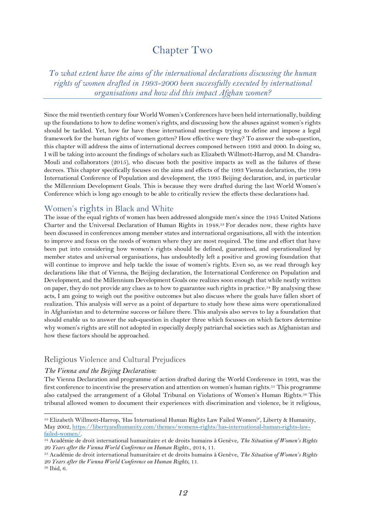## Chapter Two

<span id="page-12-1"></span><span id="page-12-0"></span>*To what extent have the aims of the international declarations discussing the human rights of women drafted in 1993-2000 been successfully executed by international organisations and how did this impact Afghan women?*

Since the mid twentieth century four World Women's Conferences have been held internationally, building up the foundations to how to define women's rights, and discussing how the abuses against women's rights should be tackled. Yet, how far have these international meetings trying to define and impose a legal framework for the human rights of women gotten? How effective were they? To answer the sub-question, this chapter will address the aims of international decrees composed between 1993 and 2000. In doing so, I will be taking into account the findings of scholars such as Elizabeth Willmott-Harrop, and M. Chandra-Mouli and collaborators (2015), who discuss both the positive impacts as well as the failures of these decrees. This chapter specifically focuses on the aims and effects of the 1993 Vienna declaration, the 1994 International Conference of Population and development, the 1995 Beijing declaration, and, in particular the Millennium Development Goals. This is because they were drafted during the last World Women's Conference which is long ago enough to be able to critically review the effects these declarations had.

## <span id="page-12-2"></span>Women's rights in Black and White

The issue of the equal rights of women has been addressed alongside men's since the 1945 United Nations Charter and the Universal Declaration of Human Rights in 1948.<sup>53</sup> For decades now, these rights have been discussed in conferences among member states and international organisations, all with the intention to improve and focus on the needs of women where they are most required. The time and effort that have been put into considering how women's rights should be defined, guaranteed, and operationalized by member states and universal organisations, has undoubtedly left a positive and growing foundation that will continue to improve and help tackle the issue of women's rights. Even so, as we read through key declarations like that of Vienna, the Beijing declaration, the International Conference on Population and Development, and the Millennium Development Goals one realizes soon enough that while neatly written on paper, they do not provide any clues as to how to guarantee such rights in practice.<sup>54</sup> By analysing these acts, I am going to weigh out the positive outcomes but also discuss where the goals have fallen short of realization. This analysis will serve as a point of departure to study how these aims were operationalized in Afghanistan and to determine success or failure there. This analysis also serves to lay a foundation that should enable us to answer the sub-question in chapter three which focusses on which factors determine why women's rights are still not adopted in especially deeply patriarchal societies such as Afghanistan and how these factors should be approached.

## <span id="page-12-3"></span>Religious Violence and Cultural Prejudices

#### *The Vienna and the Beijing Declaration:*

The Vienna Declaration and programme of action drafted during the World Conference in 1993, was the first conference to incentivise the preservation and attention on women's human rights.<sup>55</sup> This programme also catalysed the arrangement of a Global Tribunal on Violations of Women's Human Rights.<sup>56</sup> This tribunal allowed women to document their experiences with discrimination and violence, be it religious,

<sup>53</sup> Elizabeth Willmott-Harrop, 'Has International Human Rights Law Failed Women?', Liberty & Humanity, May 2002, [https://libertyandhumanity.com/themes/womens-rights/has-international-human-rights-law](https://libertyandhumanity.com/themes/womens-rights/has-international-human-rights-law-failed-women/)[failed-women/.](https://libertyandhumanity.com/themes/womens-rights/has-international-human-rights-law-failed-women/)

<sup>54</sup> Académie de droit international humanitaire et de droits humains à Genève, *The Situation of Women's Rights 20 Years after the Vienna World Conference on Human Rights.*, 2014, 11.

<sup>55</sup> Académie de droit international humanitaire et de droits humains à Genève, *The Situation of Women's Rights 20 Years after the Vienna World Conference on Human Rights,* 11.

<sup>56</sup> Ibid, 6.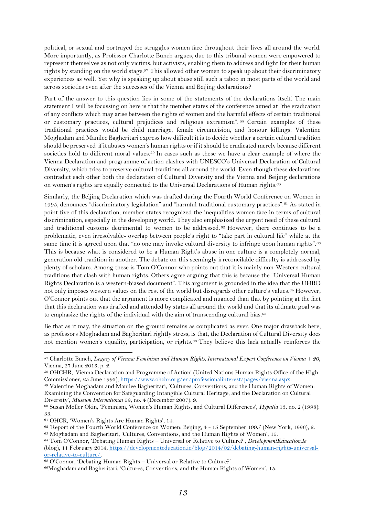political, or sexual and portrayed the struggles women face throughout their lives all around the world. More importantly, as Professor Charlotte Bunch argues, due to this tribunal women were empowered to represent themselves as not only victims, but activists, enabling them to address and fight for their human rights by standing on the world stage.<sup>57</sup> This allowed other women to speak up about their discriminatory experiences as well. Yet why is speaking up about abuse still such a taboo in most parts of the world and across societies even after the successes of the Vienna and Beijing declarations?

Part of the answer to this question lies in some of the statements of the declarations itself. The main statement I will be focussing on here is that the member states of the conference aimed at "the eradication of any conflicts which may arise between the rights of women and the harmful effects of certain traditional or customary practices, cultural prejudices and religious extremism". <sup>58</sup> Certain examples of these traditional practices would be child marriage, female circumcision, and honour killings. Valentine Moghadam and Manilee Bagheritari express how difficult it is to decide whether a certain cultural tradition should be preserved if it abuses women's human rights or if it should be eradicated merely because different societies hold to different moral values.<sup>59</sup> In cases such as these we have a clear example of where the Vienna Declaration and programme of action clashes with UNESCO's Universal Declaration of Cultural Diversity, which tries to preserve cultural traditions all around the world. Even though these declarations contradict each other both the declaration of Cultural Diversity and the Vienna and Beijing declarations on women's rights are equally connected to the Universal Declarations of Human rights.<sup>60</sup>

Similarly, the Beijing Declaration which was drafted during the Fourth World Conference on Women in 1995, denounces "discriminatory legislation" and "harmful traditional customary practices".<sup>61</sup> As stated in point five of this declaration, member states recognized the inequalities women face in terms of cultural discrimination, especially in the developing world. They also emphasized the urgent need of these cultural and traditional customs detrimental to women to be addressed. <sup>62</sup> However, there continues to be a problematic, even irresolvable- overlap between people's right to "take part in cultural life" while at the same time it is agreed upon that "no one may invoke cultural diversity to infringe upon human rights".<sup>63</sup> This is because what is considered to be a Human Right's abuse in one culture is a completely normal, generation old tradition in another. The debate on this seemingly irreconcilable difficulty is addressed by plenty of scholars. Among these is Tom O'Connor who points out that it is mainly non-Western cultural traditions that clash with human rights. Others agree arguing that this is because the "Universal Human Rights Declaration is a western-biased document". This argument is grounded in the idea that the UHRD not only imposes western values on the rest of the world but disregards other culture's values.<sup>64</sup> However, O'Connor points out that the argument is more complicated and nuanced than that by pointing at the fact that this declaration was drafted and attended by states all around the world and that its ultimate goal was to emphasize the rights of the individual with the aim of transcending cultural bias.<sup>65</sup>

Be that as it may, the situation on the ground remains as complicated as ever. One major drawback here, as professors Moghadam and Bagheritari rightly stress, is that, the Declaration of Cultural Diversity does not mention women's equality, participation, or rights.<sup>66</sup> They believe this lack actually reinforces the

<sup>61</sup> OHCR, 'Women's Rights Are Human Rights', 14.

<sup>57</sup> Charlotte Bunch, *Legacy of Vienna: Feminism and Human Rights, International Expert Conference on Vienna + 20*, Vienna, 27 June 2013, p. 2.

<sup>58</sup> OHCHR, 'Vienna Declaration and Programme of Action' (United Nations Human Rights Office of the High Commissioner, 25 June 1993), [https://www.ohchr.org/en/professionalinterest/pages/vienna.aspx.](https://www.ohchr.org/en/professionalinterest/pages/vienna.aspx)

<sup>59</sup> Valentine Moghadam and Manilee Bagheritari, 'Cultures, Conventions, and the Human Rights of Women: Examining the Convention for Safeguarding Intangible Cultural Heritage, and the Declaration on Cultural Diversity', *Museum International* 59, no. 4 (December 2007): 9.

<sup>60</sup> Susan Moller Okin, 'Feminism, Women's Human Rights, and Cultural Differences', *Hypatia* 13, no. 2 (1998): 33.

<sup>62</sup> 'Report of the Fourth World Conference on Women: Beijing, 4 - 15 September 1995' (New York, 1996), 2.

<sup>63</sup> Moghadam and Bagheritari, 'Cultures, Conventions, and the Human Rights of Women', 15. <sup>64</sup> Tom O'Connor, 'Debating Human Rights – Universal or Relative to Culture?', *DevelopmentEducation.Ie* (blog), 11 February 2014, [https://developmenteducation.ie/blog/2014/02/debating-human-rights-universal](https://developmenteducation.ie/blog/2014/02/debating-human-rights-universal-or-relative-to-culture/)[or-relative-to-culture/.](https://developmenteducation.ie/blog/2014/02/debating-human-rights-universal-or-relative-to-culture/)

<sup>65</sup> O'Connor, 'Debating Human Rights – Universal or Relative to Culture?'

<sup>66</sup>Moghadam and Bagheritari, 'Cultures, Conventions, and the Human Rights of Women', 15.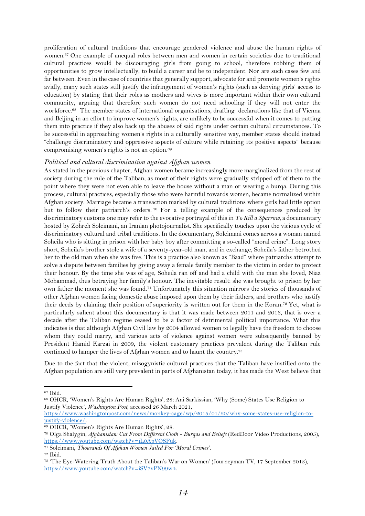proliferation of cultural traditions that encourage gendered violence and abuse the human rights of women.<sup>67</sup> One example of unequal roles between men and women in certain societies due to traditional cultural practices would be discouraging girls from going to school, therefore robbing them of opportunities to grow intellectually, to build a career and be to independent. Nor are such cases few and far between. Even in the case of countries that generally support, advocate for and promote women's rights avidly, many such states still justify the infringement of women's rights (such as denying girls' access to education) by stating that their roles as mothers and wives is more important within their own cultural community, arguing that therefore such women do not need schooling if they will not enter the workforce.68 The member states of international organisations, drafting declarations like that of Vienna and Beijing in an effort to improve women's rights, are unlikely to be successful when it comes to putting them into practice if they also back up the abuses of said rights under certain cultural circumstances. To be successful in approaching women's rights in a culturally sensitive way, member states should instead "challenge discriminatory and oppressive aspects of culture while retaining its positive aspects" because compromising women's rights is not an option.<sup>69</sup>

#### *Political and cultural discrimination against Afghan women*

As stated in the previous chapter, Afghan women became increasingly more marginalized from the rest of society during the rule of the Taliban, as most of their rights were gradually stripped off of them to the point where they were not even able to leave the house without a man or wearing a burqa. During this process, cultural practices, especially those who were harmful towards women, became normalized within Afghan society. Marriage became a transaction marked by cultural traditions where girls had little option but to follow their patriarch's orders. <sup>70</sup> For a telling example of the consequences produced by discriminatory customs one may refer to the evocative portrayal of this in *To Kill a Sparrow*, a documentary hosted by Zohreh Soleimani, an Iranian photojournalist. She specifically touches upon the vicious cycle of discriminatory cultural and tribal traditions. In the documentary, Soleimani comes across a woman named Soheila who is sitting in prison with her baby boy after committing a so-called "moral crime". Long story short, Soheila's brother stole a wife of a seventy-year-old man, and in exchange, Soheila's father betrothed her to the old man when she was five. This is a practice also known as "Baad" where patriarchs attempt to solve a dispute between families by giving away a female family member to the victim in order to protect their honour. By the time she was of age, Soheila ran off and had a child with the man she loved, Niaz Mohammad, thus betraying her family's honour. The inevitable result: she was brought to prison by her own father the moment she was found.<sup>71</sup> Unfortunately this situation mirrors the stories of thousands of other Afghan women facing domestic abuse imposed upon them by their fathers, and brothers who justify their deeds by claiming their position of superiority is written out for them in the Koran.<sup>72</sup> Yet, what is particularly salient about this documentary is that it was made between 2011 and 2013, that is over a decade after the Taliban regime ceased to be a factor of detrimental political importance. What this indicates is that although Afghan Civil law by 2004 allowed women to legally have the freedom to choose whom they could marry, and various acts of violence against women were subsequently banned by President Hamid Karzai in 2009, the violent customary practices prevalent during the Taliban rule continued to hamper the lives of Afghan women and to haunt the country.<sup>73</sup>

Due to the fact that the violent, misogynistic cultural practices that the Taliban have instilled onto the Afghan population are still very prevalent in parts of Afghanistan today, it has made the West believe that

<sup>67</sup> Ibid.

<sup>68</sup> OHCR, 'Women's Rights Are Human Rights', 28; Ani Sarkissian, 'Why (Some) States Use Religion to Justify Violence', *Washington Post*, accessed 26 March 2021,

[https://www.washingtonpost.com/news/monkey-cage/wp/2015/01/20/why-some-states-use-religion-to](https://www.washingtonpost.com/news/monkey-cage/wp/2015/01/20/why-some-states-use-religion-to-justify-violence/)[justify-violence/.](https://www.washingtonpost.com/news/monkey-cage/wp/2015/01/20/why-some-states-use-religion-to-justify-violence/)

<sup>69</sup> OHCR, 'Women's Rights Are Human Rights', 28.

<sup>70</sup> Olga Shalygin, *Afghanistan: Cut From Different Cloth - Burqas and Beliefs* (RedDoor Video Productions, 2005), [https://www.youtube.com/watch?v=iL0ApVOSFuk.](https://www.youtube.com/watch?v=iL0ApVOSFuk)

<sup>71</sup> Soleimani, *Thousands Of Afghan Women Jailed For 'Moral Crimes'*.

<sup>72</sup> Ibid.

<sup>73</sup> 'The Eye-Watering Truth About the Taliban's War on Women' (Journeyman TV, 17 September 2013), [https://www.youtube.com/watch?v=iSV7vPN99w4.](https://www.youtube.com/watch?v=iSV7vPN99w4)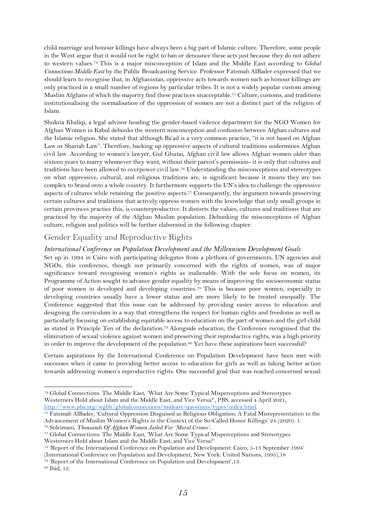child marriage and honour killings have always been a big part of Islamic culture. Therefore, some people in the West argue that it would not be right to ban or denounce these acts just because they do not adhere to western values.<sup>74</sup> This is a major misconception of Islam and the Middle East according to *Global Connections Middle East* by the Public Broadcasting Service. Professor Fatemah AlBader expressed that we should learn to recognise that, in Afghanistan, oppressive acts towards women such as honour killings are only practiced in a small number of regions by particular tribes. It is not a widely popular custom among Muslim Afghans of which the majority find these practices unacceptable.<sup>75</sup> Culture, customs, and traditions institutionalising the normalisation of the oppression of women are not a distinct part of the religion of Islam.

Shukria Khaliqi, a legal advisor heading the gender-based violence department for the NGO Women for Afghan Women in Kabul debunks the western misconception and confusion between Afghan cultures and the Islamic religion. She stated that although Ba'ad is a very common practice, "it is not based on Afghan Law or Shariah Law". Therefore, backing up oppressive aspects of cultural traditions undermines Afghan civil law. According to women's lawyer, Gul Ghutai, Afghan civil law allows Afghan women older than sixteen years to marry whomever they want, without their parent's permission- it is only that cultures and traditions have been allowed to overpower civil law.<sup>76</sup> Understanding the misconceptions and stereotypes on what oppressive, cultural, and religious traditions are, is significant because it means they are too complex to brand onto a whole country. It furthermore supports the UN's idea to challenge the oppressive aspects of cultures while retaining the positive aspects.<sup>77</sup> Consequently, the argument towards preserving certain cultures and traditions that actively oppress women with the knowledge that only small groups in certain provinces practice this, is counterproductive. It distorts the values, cultures and traditions that are practiced by the majority of the Afghan Muslim population. Debunking the misconceptions of Afghan culture, religion and politics will be further elaborated in the following chapter.

## <span id="page-15-0"></span>Gender Equality and Reproductive Rights

## *International Conference on Population Development and the Millennium Development Goals*

Set up in 1994 in Cairo with participating delegates from a plethora of governments, UN agencies and NGOs, this conference, though not primarily concerned with the rights of women, was of major significance toward recognising women's rights as inalienable. With the sole focus on women, its Programme of Action sought to advance gender equality by means of improving the socioeconomic status of poor women in developed and developing countries. <sup>78</sup> This is because poor women, especially in developing countries usually have a lower status and are more likely to be treated unequally. The Conference suggested that this issue can be addressed by providing easier access to education and designing the curriculum in a way that strengthens the respect for human rights and freedoms as well as particularly focusing on establishing equitable access to education on the part of women and the girl child as stated in Principle Ten of the declaration.<sup>79</sup> Alongside education, the Conference recognised that the elimination of sexual violence against women and preserving their reproductive rights, was a high priority in order to improve the development of the population.<sup>80</sup> Yet have these aspirations been successful?

Certain aspirations by the International Conference on Population Development have been met with successes when it came to providing better access to education for girls as well as taking better action towards addressing women's reproductive rights. One successful goal that was reached concerned sexual

<sup>76</sup> Soleimani, *Thousands Of Afghan Women Jailed For 'Moral Crimes'*.

<sup>74</sup> Global Connections: The Middle East, 'What Are Some Typical Misperceptions and Stereotypes Westerners Hold about Islam and the Middle East, and Vice Versa?', PBS, accessed 4 April 2021, [http://www.pbs.org/wgbh/globalconnections/mideast/questions/types/index.html.](http://www.pbs.org/wgbh/globalconnections/mideast/questions/types/index.html)

<sup>75</sup> Fatemah AlBader, 'Cultural Oppression Disguised as Religious Obligation: A Fatal Misrepresentation to the Advancement of Muslim Women's Rights in the Context of the So-Called Honor Killings' 24 (2020): 1.

<sup>&</sup>lt;sup>77</sup> Global Connections: The Middle East, 'What Are Some Typical Misperceptions and Stereotypes

Westerners Hold about Islam and the Middle East, and Vice Versa?'

<sup>78</sup> 'Report of the International Conference on Population and Development: Cairo, 5-13 September 1994' (International Conference on Population and Development, New York: United Nations, 1995),18

<sup>79</sup> 'Report of the International Conference on Population and Development',13.

<sup>80</sup> Ibid, 12.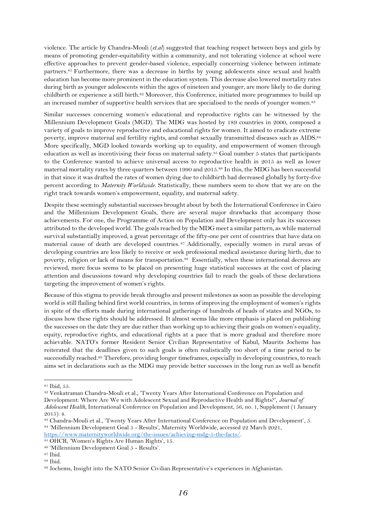violence. The article by Chandra-Mouli (*et.al*) suggested that teaching respect between boys and girls by means of promoting gender-equitability within a community, and not tolerating violence at school were effective approaches to prevent gender-based violence, especially concerning violence between intimate partners.<sup>81</sup> Furthermore, there was a decrease in births by young adolescents since sexual and health education has become more prominent in the education system. This decrease also lowered mortality rates during birth as younger adolescents within the ages of nineteen and younger, are more likely to die during childbirth or experience a still birth.<sup>82</sup> Moreover, this Conference, initiated more programmes to build up an increased number of supportive health services that are specialised to the needs of younger women.<sup>83</sup>

Similar successes concerning women's educational and reproductive rights can be witnessed by the Millennium Development Goals (MGD). The MDG was hosted by 189 countries in 2000, composed a variety of goals to improve reproductive and educational rights for women. It aimed to eradicate extreme poverty, improve maternal and fertility rights, and combat sexually transmitted diseases such as AIDS.<sup>84</sup> More specifically, MGD looked towards working up to equality, and empowerment of women through education as well as incentivising their focus on maternal safety.<sup>85</sup> Goal number 5 states that participants to the Conference wanted to achieve universal access to reproductive health in 2015 as well as lower maternal mortality rates by three quarters between 1990 and 2015.<sup>86</sup> In this, the MDG has been successful in that since it was drafted the rates of women dying due to childbirth had decreased globally by forty-five percent according to *Maternity Worldwide*. Statistically, these numbers seem to show that we are on the right track towards women's empowerment, equality, and maternal safety.

Despite these seemingly substantial successes brought about by both the International Conference in Cairo and the Millennium Development Goals, there are several major drawbacks that accompany those achievements. For one, the Programme of Action on Population and Development only has its successes attributed to the developed world. The goals reached by the MDG meet a similar pattern, as while maternal survival substantially improved, a great percentage of the fifty-one per cent of countries that have data on maternal cause of death are developed countries. <sup>87</sup> Additionally, especially women in rural areas of developing countries are less likely to receive or seek professional medical assistance during birth, due to poverty, religion or lack of means for transportation.88 Essentially, when these international decrees are reviewed, more focus seems to be placed on presenting huge statistical successes at the cost of placing attention and discussions toward why developing countries fail to reach the goals of these declarations targeting the improvement of women's rights.

Because of this stigma to provide break throughs and present milestones as soon as possible the developing world is still flailing behind first world countries, in terms of improving the employment of women's rights in spite of the efforts made during international gatherings of hundreds of heads of states and NGOs, to discuss how these rights should be addressed. It almost seems like more emphasis is placed on publishing the successes on the date they are due rather than working up to achieving their goals on women's equality, equity, reproductive rights, and educational rights at a pace that is more gradual and therefore more achievable. NATO's former Resident Senior Civilian Representative of Kabul, Maurits Jochems has reiterated that the deadlines given to such goals is often realistically too short of a time period to be successfully reached.<sup>89</sup> Therefore, providing longer timeframes, especially in developing countries, to reach aims set in declarations such as the MDG may provide better successes in the long run as well as benefit

<sup>81</sup> Ibid, 55.

<sup>82</sup> Venkatraman Chandra-Mouli et al., 'Twenty Years After International Conference on Population and Development: Where Are We with Adolescent Sexual and Reproductive Health and Rights?', *Journal of Adolescent Health*, International Conference on Population and Development, 56, no. 1, Supplement (1 January 2015): 4.

<sup>83</sup> Chandra-Mouli et al., 'Twenty Years After International Conference on Population and Development', 5. <sup>84</sup> 'Millennium Development Goal 5 - Results', Maternity Worldwide, accessed 22 March 2021, [https://www.maternityworldwide.org/the-issues/achieving-mdg-5-the-facts/.](https://www.maternityworldwide.org/the-issues/achieving-mdg-5-the-facts/)

<sup>85</sup> OHCR, 'Women's Rights Are Human Rights', 15.

<sup>86</sup> 'Millennium Development Goal 5 - Results'.

<sup>87</sup> Ibid.

<sup>88</sup> Ibid.

<sup>89</sup> Jochems, Insight into the NATO Senior Civilian Representative's experiences in Afghanistan.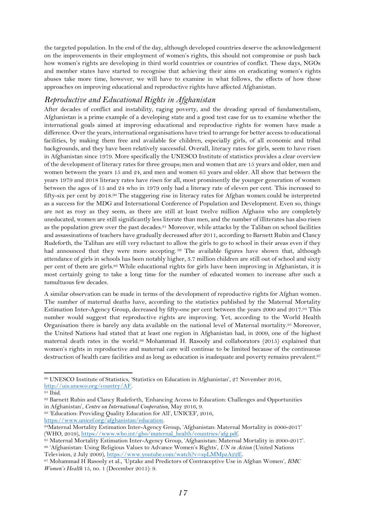the targeted population. In the end of the day, although developed countries deserve the acknowledgement on the improvements in their employment of women's rights, this should not compromise or push back how women's rights are developing in third world countries or countries of conflict. These days, NGOs and member states have started to recognise that achieving their aims on eradicating women's rights abuses take more time, however, we will have to examine in what follows, the effects of how these approaches on improving educational and reproductive rights have affected Afghanistan.

## *Reproductive and Educational Rights in Afghanistan*

After decades of conflict and instability, raging poverty, and the dreading spread of fundamentalism, Afghanistan is a prime example of a developing state and a good test case for us to examine whether the international goals aimed at improving educational and reproductive rights for women have made a difference. Over the years, international organisations have tried to arrange for better access to educational facilities, by making them free and available for children, especially girls, of all economic and tribal backgrounds, and they have been relatively successful. Overall, literacy rates for girls, seem to have risen in Afghanistan since 1979. More specifically the UNESCO Institute of statistics provides a clear overview of the development of literacy rates for three groups; men and women that are 15 years and older, men and women between the years 15 and 24, and men and women 65 years and older. All show that between the years 1979 and 2018 literacy rates have risen for all, most prominently the younger generation of women between the ages of 15 and 24 who in 1979 only had a literacy rate of eleven per cent. This increased to fifty-six per cent by 2018. <sup>90</sup> The staggering rise in literacy rates for Afghan women could be interpreted as a success for the MDG and International Conference of Population and Development. Even so, things are not as rosy as they seem, as there are still at least twelve million Afghans who are completely uneducated, women are still significantly less literate than men, and the number of illiterates has also risen as the population grew over the past decades.<sup>91</sup> Moreover, while attacks by the Taliban on school facilities and assassinations of teachers have gradually decreased after 2011, according to Barnett Rubin and Clancy Rudeforth, the Taliban are still very reluctant to allow the girls to go to school in their areas even if they had announced that they were more accepting. <sup>92</sup> The available figures have shown that, although attendance of girls in schools has been notably higher, 3.7 million children are still out of school and sixty per cent of them are girls.<sup>93</sup> While educational rights for girls have been improving in Afghanistan, it is most certainly going to take a long time for the number of educated women to increase after such a tumultuous few decades.

A similar observation can be made in terms of the development of reproductive rights for Afghan women. The number of maternal deaths have, according to the statistics published by the Maternal Mortality Estimation Inter-Agency Group, decreased by fifty-one per cent between the years 2000 and 2017.<sup>94</sup> This number would suggest that reproductive rights are improving. Yet, according to the World Health Organisation there is barely any data available on the national level of Maternal mortality.<sup>95</sup> Moreover, the United Nations had stated that at least one region in Afghanistan had, in 2009, one of the highest maternal death rates in the world.<sup>96</sup> Mohammad H. Rasooly and collaborators (2015) explained that women's rights in reproductive and maternal care will continue to be limited because of the continuous destruction of health care facilities and as long as education is inadequate and poverty remains prevalent.<sup>97</sup>

[https://www.unicef.org/afghanistan/education.](https://www.unicef.org/afghanistan/education)

Television, 2 July 2009), [https://www.youtube.com/watch?v=spLMMpzA22E.](https://www.youtube.com/watch?v=spLMMpzA22E)

<sup>90</sup> UNESCO Institute of Statistics, 'Statistics on Education in Afghanistan', 27 November 2016,

[http://uis.unesco.org/country/AF.](http://uis.unesco.org/country/AF)

<sup>91</sup> Ibid.

<sup>92</sup> Barnett Rubin and Clancy Rudeforth, 'Enhancing Access to Education: Challenges and Opportunities in Afghanistan', *Centre on International Cooperation*, May 2016, 9.

<sup>93</sup> 'Education: Providing Quality Education for All', UNICEF, 2016,

<sup>94</sup>Maternal Mortality Estimation Inter-Agency Group, 'Afghanistan: Maternal Mortality in 2000-2017' (WHO, 2019)[, https://www.who.int/gho/maternal\\_health/countries/afg.pdf.](https://www.who.int/gho/maternal_health/countries/afg.pdf)

<sup>95</sup> Maternal Mortality Estimation Inter-Agency Group, 'Afghanistan: Maternal Mortality in 2000-2017'. <sup>96</sup> 'Afghanistan: Using Religious Values to Advance Women's Rights', *UN in Action* (United Nations

<sup>97</sup> Mohammad H Rasooly et al., 'Uptake and Predictors of Contraceptive Use in Afghan Women', *BMC Women's Health* 15, no. 1 (December 2015): 9.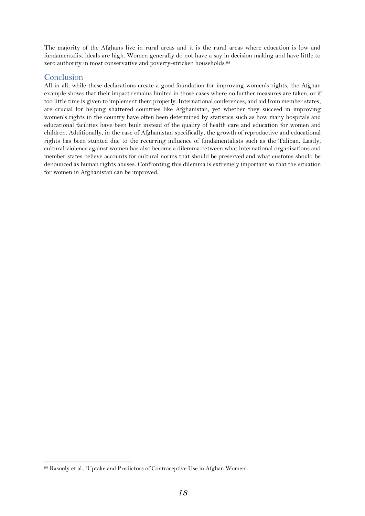The majority of the Afghans live in rural areas and it is the rural areas where education is low and fundamentalist ideals are high. Women generally do not have a say in decision making and have little to zero authority in most conservative and poverty-stricken households.<sup>98</sup>

## <span id="page-18-0"></span>Conclusion

All in all, while these declarations create a good foundation for improving women's rights, the Afghan example shows that their impact remains limited in those cases where no further measures are taken, or if too little time is given to implement them properly. International conferences, and aid from member states, are crucial for helping shattered countries like Afghanistan, yet whether they succeed in improving women's rights in the country have often been determined by statistics such as how many hospitals and educational facilities have been built instead of the quality of health care and education for women and children. Additionally, in the case of Afghanistan specifically, the growth of reproductive and educational rights has been stunted due to the recurring influence of fundamentalists such as the Taliban. Lastly, cultural violence against women has also become a dilemma between what international organisations and member states believe accounts for cultural norms that should be preserved and what customs should be denounced as human rights abuses. Confronting this dilemma is extremely important so that the situation for women in Afghanistan can be improved.

<sup>98</sup> Rasooly et al., 'Uptake and Predictors of Contraceptive Use in Afghan Women'.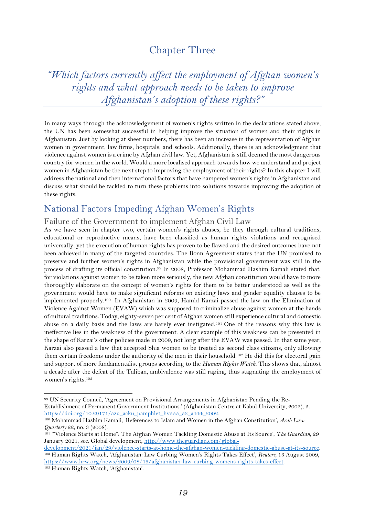## Chapter Three

<span id="page-19-1"></span><span id="page-19-0"></span>*"Which factors currently affect the employment of Afghan women's rights and what approach needs to be taken to improve Afghanistan's adoption of these rights?"*

In many ways through the acknowledgement of women's rights written in the declarations stated above, the UN has been somewhat successful in helping improve the situation of women and their rights in Afghanistan. Just by looking at sheer numbers, there has been an increase in the representation of Afghan women in government, law firms, hospitals, and schools. Additionally, there is an acknowledgment that violence against women is a crime by Afghan civil law. Yet, Afghanistan is still deemed the most dangerous country for women in the world. Would a more localised approach towards how we understand and project women in Afghanistan be the next step to improving the employment of their rights? In this chapter I will address the national and then international factors that have hampered women's rights in Afghanistan and discuss what should be tackled to turn these problems into solutions towards improving the adoption of these rights.

## <span id="page-19-2"></span>National Factors Impeding Afghan Women's Rights

## <span id="page-19-3"></span>Failure of the Government to implement Afghan Civil Law

As we have seen in chapter two, certain women's rights abuses, be they through cultural traditions, educational or reproductive means, have been classified as human rights violations and recognised universally, yet the execution of human rights has proven to be flawed and the desired outcomes have not been achieved in many of the targeted countries. The Bonn Agreement states that the UN promised to preserve and further women's rights in Afghanistan while the provisional government was still in the process of drafting its official constitution.<sup>99</sup> In 2008, Professor Mohammad Hashim Kamali stated that, for violations against women to be taken more seriously, the new Afghan constitution would have to more thoroughly elaborate on the concept of women's rights for them to be better understood as well as the government would have to make significant reforms on existing laws and gender equality clauses to be implemented properly.100 In Afghanistan in 2009, Hamid Karzai passed the law on the Elimination of Violence Against Women (EVAW) which was supposed to criminalize abuse against women at the hands of cultural traditions. Today, eighty-seven per cent of Afghan women still experience cultural and domestic abuse on a daily basis and the laws are barely ever instigated.<sup>101</sup> One of the reasons why this law is ineffective lies in the weakness of the government. A clear example of this weakness can be presented in the shape of Karzai's other policies made in 2009, not long after the EVAW was passed. In that same year, Karzai also passed a law that accepted Shia women to be treated as second class citizens, only allowing them certain freedoms under the authority of the men in their household.<sup>102</sup> He did this for electoral gain and support of more fundamentalist groups according to the *Human Rights Watch*. This shows that, almost a decade after the defeat of the Taliban, ambivalence was still raging, thus stagnating the employment of women's rights.<sup>103</sup>

<sup>99</sup> UN Security Council, 'Agreement on Provisional Arrangements in Afghanistan Pending the Re-Establishment of Permanent Government Institutions.' (Afghanistan Centre at Kabul University, 2002), 5. [https://doi.org/10.29171/azu\\_acku\\_pamphlet\\_hv555\\_a3\\_a444\\_2002.](https://doi.org/10.29171/azu_acku_pamphlet_hv555_a3_a444_2002)

<sup>100</sup> Mohammad Hashim Kamali, 'References to Islam and Women in the Afghan Constitution', *Arab Law Quarterly* 22, no. 3 (2008):

<sup>101</sup> '"Violence Starts at Home": The Afghan Women Tackling Domestic Abuse at Its Source', *The Guardian*, 29 January 2021, sec. Global development, [http://www.theguardian.com/global-](http://www.theguardian.com/global-development/2021/jan/29/violence-starts-at-home-the-afghan-women-tackling-domestic-abuse-at-its-source)

[development/2021/jan/29/violence-starts-at-home-the-afghan-women-tackling-domestic-abuse-at-its-source.](http://www.theguardian.com/global-development/2021/jan/29/violence-starts-at-home-the-afghan-women-tackling-domestic-abuse-at-its-source) <sup>102</sup> Human Rights Watch, 'Afghanistan: Law Curbing Women's Rights Takes Effect', *Reuters*, 13 August 2009, [https://www.hrw.org/news/2009/08/13/afghanistan-law-curbing-womens-rights-takes-effect.](https://www.hrw.org/news/2009/08/13/afghanistan-law-curbing-womens-rights-takes-effect)

<sup>103</sup> Human Rights Watch, 'Afghanistan'.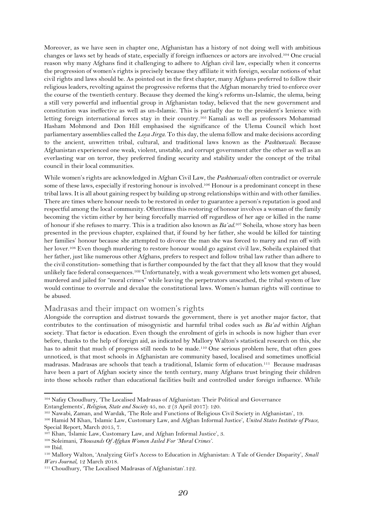Moreover, as we have seen in chapter one, Afghanistan has a history of not doing well with ambitious changes or laws set by heads of state, especially if foreign influences or actors are involved.<sup>104</sup> One crucial reason why many Afghans find it challenging to adhere to Afghan civil law, especially when it concerns the progression of women's rights is precisely because they affiliate it with foreign, secular notions of what civil rights and laws should be. As pointed out in the first chapter, many Afghans preferred to follow their religious leaders, revolting against the progressive reforms that the Afghan monarchy tried to enforce over the course of the twentieth century. Because they deemed the king's reforms un-Islamic, the ulema, being a still very powerful and influential group in Afghanistan today, believed that the new government and constitution was ineffective as well as un-Islamic. This is partially due to the president's lenience with letting foreign international forces stay in their country. <sup>105</sup> Kamali as well as professors Mohammad Hasham Mohmond and Don Hill emphasised the significance of the Ulema Council which host parliamentary assemblies called the *Loya Jirga.* To this day, the ulema follow and make decisions according to the ancient, unwritten tribal, cultural, and traditional laws known as the *Pashtunwali*. Because Afghanistan experienced one weak, violent, unstable, and corrupt government after the other as well as an everlasting war on terror, they preferred finding security and stability under the concept of the tribal council in their local communities.

While women's rights are acknowledged in Afghan Civil Law, the *Pashtunwali* often contradict or overrule some of these laws, especially if restoring honour is involved.<sup>106</sup> Honour is a predominant concept in these tribal laws. It is all about gaining respect by building up strong relationships within and with other families. There are times where honour needs to be restored in order to guarantee a person's reputation is good and respectful among the local community. Oftentimes this restoring of honour involves a woman of the family becoming the victim either by her being forcefully married off regardless of her age or killed in the name of honour if she refuses to marry. This is a tradition also known as *Ba'ad*. <sup>107</sup> Soheila, whose story has been presented in the previous chapter, explained that, if found by her father, she would be killed for tainting her families' honour because she attempted to divorce the man she was forced to marry and ran off with her lover.<sup>108</sup> Even though murdering to restore honour would go against civil law, Soheila explained that her father, just like numerous other Afghans, prefers to respect and follow tribal law rather than adhere to the civil constitution- something that is further compounded by the fact that they all know that they would unlikely face federal consequences. <sup>109</sup> Unfortunately, with a weak government who lets women get abused, murdered and jailed for "moral crimes" while leaving the perpetrators unscathed, the tribal system of law would continue to overrule and devalue the constitutional laws. Women's human rights will continue to be abused.

#### <span id="page-20-0"></span>Madrasas and their impact on women's rights

Alongside the corruption and distrust towards the government, there is yet another major factor, that contributes to the continuation of misogynistic and harmful tribal codes such as *Ba'ad* within Afghan society. That factor is education. Even though the enrolment of girls in schools is now higher than ever before, thanks to the help of foreign aid, as indicated by Mallory Walton's statistical research on this, she has to admit that much of progress still needs to be made.<sup>110</sup> One serious problem here, that often goes unnoticed, is that most schools in Afghanistan are community based, localised and sometimes unofficial madrasas. Madrasas are schools that teach a traditional, Islamic form of education.111 Because madrasas have been a part of Afghan society since the tenth century, many Afghans trust bringing their children into those schools rather than educational facilities built and controlled under foreign influence. While

<sup>104</sup> Nafay Choudhury, 'The Localised Madrasas of Afghanistan: Their Political and Governance

Entanglements', *Religion, State and Society* 45, no. 2 (3 April 2017): 120.

<sup>105</sup> Nawabi, Zaman, and Wardak, 'The Role and Functions of Religious Civil Society in Afghanistan', 19.

<sup>106</sup> Hamid M Khan, 'Islamic Law, Customary Law, and Afghan Informal Justice', *United States Institute of Peace*, Special Report, March 2015, 7.

<sup>107</sup> Khan, 'Islamic Law, Customary Law, and Afghan Informal Justice', 3.

<sup>108</sup> Soleimani, *Thousands Of Afghan Women Jailed For 'Moral Crimes'*.

<sup>109</sup> Ibid.

<sup>110</sup> Mallory Walton, 'Analyzing Girl's Access to Education in Afghanistan: A Tale of Gender Disparity', *Small Wars Journal*, 12 March 2018.

<sup>111</sup> Choudhury, 'The Localised Madrasas of Afghanistan'.122.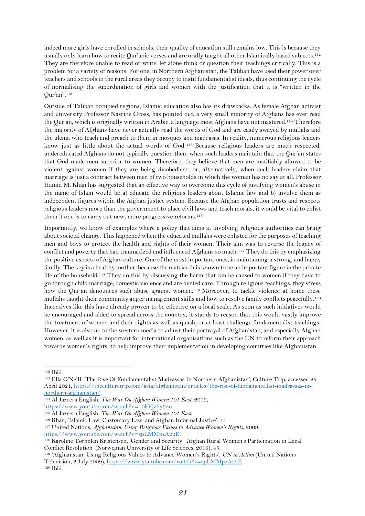indeed more girls have enrolled in schools, their quality of education still remains low. This is because they usually only learn how to recite Qur'anic verses and are orally taught all other Islamically based subjects.<sup>112</sup> They are therefore unable to read or write, let alone think or question their teachings critically. This is a problem for a variety of reasons. For one, in Northern Afghanistan, the Taliban have used their power over teachers and schools in the rural areas they occupy to instil fundamentalist ideals, thus continuing the cycle of normalising the subordination of girls and women with the justification that it is "written in the Qur'an".<sup>113</sup>

Outside of Taliban occupied regions, Islamic education also has its drawbacks. As female Afghan activist and university Professor Nasrine Gross, has pointed out, a very small minority of Afghans has ever read the Qur'an, which is originally written in Arabic, a language most Afghans have not mastered.<sup>114</sup> Therefore the majority of Afghans have never actually read the words of God and are easily swayed by mullahs and the ulema who teach and preach to them in mosques and madrasas. In reality, numerous religious leaders know just as little about the actual words of God. <sup>115</sup> Because religious leaders are much respected, undereducated Afghans do not typically question them when such leaders maintain that the Qur'an states that God made men superior to women. Therefore, they believe that men are justifiably allowed to be violent against women if they are being disobedient, or, alternatively, when such leaders claim that marriage is just a contract between men of two households in which the woman has no say at all. Professor Hamid M. Khan has suggested that an effective way to overcome this cycle of justifying women's abuse in the name of Islam would be a) educate the religious leaders about Islamic law and b) involve them as independent figures within the Afghan justice system. Because the Afghan population trusts and respects religious leaders more than the government to place civil laws and teach morals, it would be vital to enlist them if one is to carry out new, more progressive reforms.<sup>116</sup>

Importantly, we know of examples where a policy that aims at involving religious authorities can bring about societal change. This happened when the educated mullahs were enlisted for the purposes of teaching men and boys to protect the health and rights of their women. Their aim was to reverse the legacy of conflict and poverty that had traumatized and influenced Afghans so much.<sup>117</sup> They do this by emphasizing the positive aspects of Afghan culture. One of the most important ones, is maintaining a strong, and happy family. The key is a healthy mother, because the matriarch is known to be an important figure in the private life of the household.<sup>118</sup> They do this by discussing the harm that can be caused to women if they have to go through child marriage, domestic violence and are denied care. Through religious teachings, they stress how the Qur'an denounces such abuse against women.<sup>119</sup> Moreover, to tackle violence at home these mullahs taught their community anger management skills and how to resolve family conflicts peacefully.<sup>120</sup> Incentives like this have already proven to be effective on a local scale. As soon as such initiatives would be encouraged and aided to spread across the country, it stands to reason that this would vastly improve the treatment of women and their rights as well as quash, or at least challenge fundamentalist teachings. However, it is also up to the western media to adjust their portrayal of Afghanistan, and especially Afghan women, as well as it is important for international organisations such as the UN to reform their approach towards women's rights, to help improve their implementation in developing countries like Afghanistan.

<sup>112</sup> Ibid.

<sup>113</sup> Ella O'Neill, 'The Rise Of Fundamentalist Madrassas In Northern Afghanistan', Culture Trip, accessed 25 April 2021[, https://theculturetrip.com/asia/afghanistan/articles/the-rise-of-fundamentalist-madrassas-in](https://theculturetrip.com/asia/afghanistan/articles/the-rise-of-fundamentalist-madrassas-in-northern-afghanistan/)[northern-afghanistan/.](https://theculturetrip.com/asia/afghanistan/articles/the-rise-of-fundamentalist-madrassas-in-northern-afghanistan/)

<sup>114</sup> Al Jazeera English, *The War On Afghan Women 101 East*, 2019,

[https://www.youtube.com/watch?v=\\_0kVjzhy93o.](https://www.youtube.com/watch?v=_0kVjzhy93o)

<sup>115</sup> Al Jazeera English, *The War On Afghan Women 101 East*.

<sup>116</sup> Khan, 'Islamic Law, Customary Law, and Afghan Informal Justice', 11.

<sup>117</sup> United Nations, *Afghanistan: Using Religious Values to Advance Women's Rights*, 2009, [https://www.youtube.com/watch?v=spLMMpzA22E.](https://www.youtube.com/watch?v=spLMMpzA22E)

<sup>118</sup> Karoline Tørholen Kristensen, 'Gender and Security: Afghan Rural Women's Participation in Local Conflict Resolution' (Norwegian University of Life Sciences, 2016), 45.

<sup>119</sup> 'Afghanistan: Using Religious Values to Advance Women's Rights', *UN in Action* (United Nations Television, 2 July 2009), [https://www.youtube.com/watch?v=spLMMpzA22E.](https://www.youtube.com/watch?v=spLMMpzA22E) <sup>120</sup> Ibid.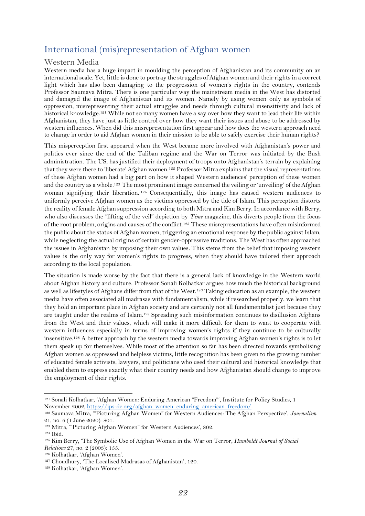## <span id="page-22-0"></span>International (mis)representation of Afghan women

#### <span id="page-22-1"></span>Western Media

Western media has a huge impact in moulding the perception of Afghanistan and its community on an international scale. Yet, little is done to portray the struggles of Afghan women and their rights in a correct light which has also been damaging to the progression of women's rights in the country, contends Professor Saumava Mitra. There is one particular way the mainstream media in the West has distorted and damaged the image of Afghanistan and its women. Namely by using women only as symbols of oppression, misrepresenting their actual struggles and needs through cultural insensitivity and lack of historical knowledge.<sup>121</sup> While not so many women have a say over how they want to lead their life within Afghanistan, they have just as little control over how they want their issues and abuse to be addressed by western influences. When did this misrepresentation first appear and how does the western approach need to change in order to aid Afghan women in their mission to be able to safely exercise their human rights?

This misperception first appeared when the West became more involved with Afghanistan's power and politics ever since the end of the Taliban regime and the War on Terror was initiated by the Bush administration. The US, has justified their deployment of troops onto Afghanistan's terrain by explaining that they were there to 'liberate' Afghan women.<sup>122</sup> Professor Mitra explains that the visual representations of these Afghan women had a big part on how it shaped Western audiences' perception of these women and the country as a whole.<sup>123</sup> The most prominent image concerned the veiling or 'unveiling' of the Afghan woman signifying their liberation. <sup>124</sup> Consequentially, this image has caused western audiences to uniformly perceive Afghan women as the victims oppressed by the tide of Islam. This perception distorts the reality of female Afghan suppression according to both Mitra and Kim Berry. In accordance with Berry, who also discusses the "lifting of the veil" depiction by *Time* magazine, this diverts people from the focus of the root problem, origins and causes of the conflict.<sup>125</sup> These misrepresentations have often misinformed the public about the status of Afghan women, triggering an emotional response by the public against Islam, while neglecting the actual origins of certain gender-oppressive traditions. The West has often approached the issues in Afghanistan by imposing their own values. This stems from the belief that imposing western values is the only way for women's rights to progress, when they should have tailored their approach according to the local population.

The situation is made worse by the fact that there is a general lack of knowledge in the Western world about Afghan history and culture. Professor Sonali Kolhatkar argues how much the historical background as well as lifestyles of Afghans differ from that of the West.<sup>126</sup> Taking education as an example, the western media have often associated all madrasas with fundamentalism, while if researched properly, we learn that they hold an important place in Afghan society and are certainly not all fundamentalist just because they are taught under the realms of Islam.<sup>127</sup> Spreading such misinformation continues to disillusion Afghans from the West and their values, which will make it more difficult for them to want to cooperate with western influences especially in terms of improving women's rights if they continue to be culturally insensitive.<sup>128</sup> A better approach by the western media towards improving Afghan women's rights is to let them speak up for themselves. While most of the attention so far has been directed towards symbolising Afghan women as oppressed and helpless victims, little recognition has been given to the growing number of educated female activists, lawyers, and politicians who used their cultural and historical knowledge that enabled them to express exactly what their country needs and how Afghanistan should change to improve the employment of their rights.

<sup>121</sup> Sonali Kolhatkar, 'Afghan Women: Enduring American "Freedom"', Institute for Policy Studies, 1 November 2002, [https://ips-dc.org/afghan\\_women\\_enduring\\_american\\_freedom/.](https://ips-dc.org/afghan_women_enduring_american_freedom/)

<sup>122</sup> Saumava Mitra, '"Picturing Afghan Women" for Western Audiences: The Afghan Perspective', *Journalism* 21, no. 6 (1 June 2020): 801.

<sup>123</sup> Mitra, '"Picturing Afghan Women" for Western Audiences', 802.

<sup>124</sup> Ibid.

<sup>125</sup> Kim Berry, 'The Symbolic Use of Afghan Women in the War on Terror, *Humboldt Journal of Social Relations* 27, no. 2 (2003): 155.

<sup>126</sup> Kolhatkar, 'Afghan Women'.

<sup>127</sup> Choudhury, 'The Localised Madrasas of Afghanistan', 120.

<sup>128</sup> Kolhatkar, 'Afghan Women'.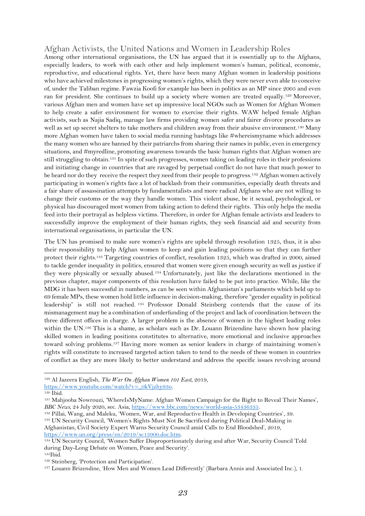## <span id="page-23-0"></span>Afghan Activists, the United Nations and Women in Leadership Roles

Among other international organisations, the UN has argued that it is essentially up to the Afghans, especially leaders, to work with each other and help implement women's human, political, economic, reproductive, and educational rights. Yet, there have been many Afghan women in leadership positions who have achieved milestones in progressing women's rights, which they were never even able to conceive of, under the Taliban regime. Fawzia Koofi for example has been in politics as an MP since 2005 and even ran for president. She continues to build up a society where women are treated equally.<sup>129</sup> Moreover, various Afghan men and women have set up impressive local NGOs such as Women for Afghan Women to help create a safer environment for women to exercise their rights. WAW helped female Afghan activists, such as Najia Sadiq, manage law firms providing women safer and fairer divorce procedures as well as set up secret shelters to take mothers and children away from their abusive environment.<sup>130</sup> Many more Afghan women have taken to social media running hashtags like #whereismyname which addresses the many women who are banned by their patriarchs from sharing their names in public, even in emergency situations, and #myredline, promoting awareness towards the basic human rights that Afghan women are still struggling to obtain.<sup>131</sup> In spite of such progresses, women taking on leading roles in their professions and initiating change in countries that are ravaged by perpetual conflict do not have that much power to be heard nor do they receive the respect they need from their people to progress.<sup>132</sup> Afghan women actively participating in women's rights face a lot of backlash from their communities, especially death threats and a fair share of assassination attempts by fundamentalists and more radical Afghans who are not willing to change their customs or the way they handle women. This violent abuse, be it sexual, psychological, or physical has discouraged most women from taking action to defend their rights. This only helps the media feed into their portrayal as helpless victims. Therefore, in order for Afghan female activists and leaders to successfully improve the employment of their human rights, they seek financial aid and security from international organisations, in particular the UN.

The UN has promised to make sure women's rights are upheld through resolution 1325, thus, it is also their responsibility to help Afghan women to keep and gain leading positions so that they can further protect their rights.<sup>133</sup> Targeting countries of conflict, resolution 1325, which was drafted in 2000, aimed to tackle gender inequality in politics, ensured that women were given enough security as well as justice if they were physically or sexually abused.<sup>134</sup> Unfortunately, just like the declarations mentioned in the previous chapter, major components of this resolution have failed to be put into practice. While, like the MDG it has been successful in numbers, as can be seen within Afghanistan's parliaments which held up to 69 female MPs, these women hold little influence in decision-making, therefore "gender equality in political leadership" is still not reached. <sup>135</sup> Professor Donald Steinberg contends that the cause of its mismanagement may be a combination of underfunding of the project and lack of coordination between the three different offices in charge. A larger problem is the absence of women in the highest leading roles within the UN.<sup>136</sup> This is a shame, as scholars such as Dr. Louann Brizendine have shown how placing skilled women in leading positions constitutes to alternative, more emotional and inclusive approaches toward solving problems.<sup>137</sup> Having more women as senior leaders in charge of maintaining women's rights will constitute to increased targeted action taken to tend to the needs of these women in countries of conflict as they are more likely to better understand and address the specific issues revolving around

<sup>132</sup> Pillai, Wang, and Maleku, 'Women, War, and Reproductive Health in Developing Countries', 39.

<sup>129</sup> Al Jazeera English, *The War On Afghan Women 101 East*, 2019,

[https://www.youtube.com/watch?v=\\_0kVjzhy93o.](https://www.youtube.com/watch?v=_0kVjzhy93o)

<sup>130</sup> Ibid.

<sup>131</sup> Mahjooba Nowrouzi, 'WhereIsMyName: Afghan Women Campaign for the Right to Reveal Their Names', *BBC News*, 24 July 2020, sec. Asia, [https://www.bbc.com/news/world-asia-53436335.](https://www.bbc.com/news/world-asia-53436335)

<sup>133</sup> UN Security Council, 'Women's Rights Must Not Be Sacrificed during Political Deal-Making in Afghanistan, Civil Society Expert Warns Security Council amid Calls to End Bloodshed', 2019, [https://www.un.org/press/en/2019/sc13900.doc.htm.](https://www.un.org/press/en/2019/sc13900.doc.htm)

<sup>&</sup>lt;sup>134</sup> UN Security Council, 'Women Suffer Disproportionately during and after War, Security Council Told during Day-Long Debate on Women, Peace and Security'.

<sup>135</sup>Ibid.

<sup>136</sup> Steinberg, 'Protection and Participation'.

<sup>137</sup> Louann Brizendine, 'How Men and Women Lead Differently' (Barbara Annis and Associated Inc.), 1.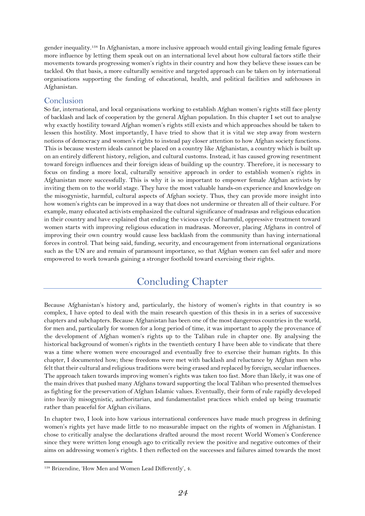gender inequality.<sup>138</sup> In Afghanistan, a more inclusive approach would entail giving leading female figures more influence by letting them speak out on an international level about how cultural factors stifle their movements towards progressing women's rights in their country and how they believe these issues can be tackled. On that basis, a more culturally sensitive and targeted approach can be taken on by international organisations supporting the funding of educational, health, and political facilities and safehouses in Afghanistan.

## <span id="page-24-0"></span>Conclusion

So far, international, and local organisations working to establish Afghan women's rights still face plenty of backlash and lack of cooperation by the general Afghan population. In this chapter I set out to analyse why exactly hostility toward Afghan women's rights still exists and which approaches should be taken to lessen this hostility. Most importantly, I have tried to show that it is vital we step away from western notions of democracy and women's rights to instead pay closer attention to how Afghan society functions. This is because western ideals cannot be placed on a country like Afghanistan, a country which is built up on an entirely different history, religion, and cultural customs. Instead, it has caused growing resentment toward foreign influences and their foreign ideas of building up the country. Therefore, it is necessary to focus on finding a more local, culturally sensitive approach in order to establish women's rights in Afghanistan more successfully. This is why it is so important to empower female Afghan activists by inviting them on to the world stage. They have the most valuable hands-on experience and knowledge on the misogynistic, harmful, cultural aspects of Afghan society. Thus, they can provide more insight into how women's rights can be improved in a way that does not undermine or threaten all of their culture. For example, many educated activists emphasized the cultural significance of madrasas and religious education in their country and have explained that ending the vicious cycle of harmful, oppressive treatment toward women starts with improving religious education in madrasas. Moreover, placing Afghans in control of improving their own country would cause less backlash from the community than having international forces in control. That being said, funding, security, and encouragement from international organizations such as the UN are and remain of paramount importance, so that Afghan women can feel safer and more empowered to work towards gaining a stronger foothold toward exercising their rights.

## Concluding Chapter

<span id="page-24-1"></span>Because Afghanistan's history and, particularly, the history of women's rights in that country is so complex, I have opted to deal with the main research question of this thesis in in a series of successive chapters and subchapters. Because Afghanistan has been one of the most dangerous countries in the world, for men and, particularly for women for a long period of time, it was important to apply the provenance of the development of Afghan women's rights up to the Taliban rule in chapter one. By analysing the historical background of women's rights in the twentieth century I have been able to vindicate that there was a time where women were encouraged and eventually free to exercise their human rights. In this chapter, I documented how; these freedoms were met with backlash and reluctance by Afghan men who felt that their cultural and religious traditions were being erased and replaced by foreign, secular influences. The approach taken towards improving women's rights was taken too fast. More than likely, it was one of the main drives that pushed many Afghans toward supporting the local Taliban who presented themselves as fighting for the preservation of Afghan Islamic values. Eventually, their form of rule rapidly developed into heavily misogynistic, authoritarian, and fundamentalist practices which ended up being traumatic rather than peaceful for Afghan civilians.

In chapter two, I look into how various international conferences have made much progress in defining women's rights yet have made little to no measurable impact on the rights of women in Afghanistan. I chose to critically analyse the declarations drafted around the most recent World Women's Conference since they were written long enough ago to critically review the positive and negative outcomes of their aims on addressing women's rights. I then reflected on the successes and failures aimed towards the most

<sup>138</sup> Brizendine, 'How Men and Women Lead Differently', 4.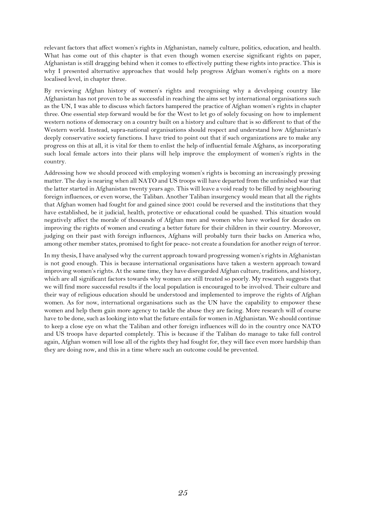relevant factors that affect women's rights in Afghanistan, namely culture, politics, education, and health. What has come out of this chapter is that even though women exercise significant rights on paper, Afghanistan is still dragging behind when it comes to effectively putting these rights into practice. This is why I presented alternative approaches that would help progress Afghan women's rights on a more localised level, in chapter three.

By reviewing Afghan history of women's rights and recognising why a developing country like Afghanistan has not proven to be as successful in reaching the aims set by international organisations such as the UN, I was able to discuss which factors hampered the practice of Afghan women's rights in chapter three. One essential step forward would be for the West to let go of solely focusing on how to implement western notions of democracy on a country built on a history and culture that is so different to that of the Western world. Instead, supra-national organisations should respect and understand how Afghanistan's deeply conservative society functions. I have tried to point out that if such organizations are to make any progress on this at all, it is vital for them to enlist the help of influential female Afghans, as incorporating such local female actors into their plans will help improve the employment of women's rights in the country.

Addressing how we should proceed with employing women's rights is becoming an increasingly pressing matter. The day is nearing when all NATO and US troops will have departed from the unfinished war that the latter started in Afghanistan twenty years ago. This will leave a void ready to be filled by neighbouring foreign influences, or even worse, the Taliban. Another Taliban insurgency would mean that all the rights that Afghan women had fought for and gained since 2001 could be reversed and the institutions that they have established, be it judicial, health, protective or educational could be quashed. This situation would negatively affect the morale of thousands of Afghan men and women who have worked for decades on improving the rights of women and creating a better future for their children in their country. Moreover, judging on their past with foreign influences, Afghans will probably turn their backs on America who, among other member states, promised to fight for peace- not create a foundation for another reign of terror.

In my thesis, I have analysed why the current approach toward progressing women's rights in Afghanistan is not good enough. This is because international organisations have taken a western approach toward improving women's rights. At the same time, they have disregarded Afghan culture, traditions, and history, which are all significant factors towards why women are still treated so poorly. My research suggests that we will find more successful results if the local population is encouraged to be involved. Their culture and their way of religious education should be understood and implemented to improve the rights of Afghan women. As for now, international organisations such as the UN have the capability to empower these women and help them gain more agency to tackle the abuse they are facing. More research will of course have to be done, such as looking into what the future entails for women in Afghanistan. We should continue to keep a close eye on what the Taliban and other foreign influences will do in the country once NATO and US troops have departed completely. This is because if the Taliban do manage to take full control again, Afghan women will lose all of the rights they had fought for, they will face even more hardship than they are doing now, and this in a time where such an outcome could be prevented.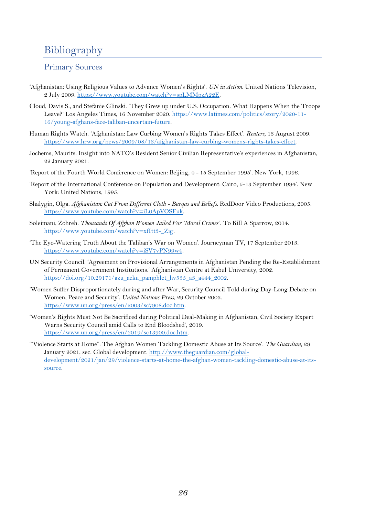# <span id="page-26-0"></span>Bibliography

## <span id="page-26-1"></span>Primary Sources

- 'Afghanistan: Using Religious Values to Advance Women's Rights'. *UN in Action*. United Nations Television, 2 July 2009. [https://www.youtube.com/watch?v=spLMMpzA22E.](https://www.youtube.com/watch?v=spLMMpzA22E)
- Cloud, Davis S., and Stefanie Glinski. 'They Grew up under U.S. Occupation. What Happens When the Troops Leave?' Los Angeles Times, 16 November 2020. [https://www.latimes.com/politics/story/2020-11-](https://www.latimes.com/politics/story/2020-11-16/young-afghans-face-taliban-uncertain-future) [16/young-afghans-face-taliban-uncertain-future.](https://www.latimes.com/politics/story/2020-11-16/young-afghans-face-taliban-uncertain-future)
- Human Rights Watch. 'Afghanistan: Law Curbing Women's Rights Takes Effect'. *Reuters*, 13 August 2009. [https://www.hrw.org/news/2009/08/13/afghanistan-law-curbing-womens-rights-takes-effect.](https://www.hrw.org/news/2009/08/13/afghanistan-law-curbing-womens-rights-takes-effect)
- Jochems, Maurits. Insight into NATO's Resident Senior Civilian Representative's experiences in Afghanistan, 22 January 2021.
- 'Report of the Fourth World Conference on Women: Beijing, 4 15 September 1995'. New York, 1996.
- 'Report of the International Conference on Population and Development: Cairo, 5-13 September 1994'. New York: United Nations, 1995.
- Shalygin, Olga. *Afghanistan: Cut From Different Cloth - Burqas and Beliefs*. RedDoor Video Productions, 2005. [https://www.youtube.com/watch?v=iL0ApVOSFuk.](https://www.youtube.com/watch?v=iL0ApVOSFuk)
- Soleimani, Zohreh. *Thousands Of Afghan Women Jailed For 'Moral Crimes'*. To Kill A Sparrow, 2014. [https://www.youtube.com/watch?v=xfItt3-\\_Zig.](https://www.youtube.com/watch?v=xfItt3-_Zig)
- 'The Eye-Watering Truth About the Taliban's War on Women'. Journeyman TV, 17 September 2013. [https://www.youtube.com/watch?v=iSV7vPN99w4.](https://www.youtube.com/watch?v=iSV7vPN99w4)
- UN Security Council. 'Agreement on Provisional Arrangements in Afghanistan Pending the Re-Establishment of Permanent Government Institutions.' Afghanistan Centre at Kabul University, 2002. [https://doi.org/10.29171/azu\\_acku\\_pamphlet\\_hv555\\_a3\\_a444\\_2002.](https://doi.org/10.29171/azu_acku_pamphlet_hv555_a3_a444_2002)
- 'Women Suffer Disproportionately during and after War, Security Council Told during Day-Long Debate on Women, Peace and Security'. *United Nations Press*, 29 October 2003. [https://www.un.org/press/en/2003/sc7908.doc.htm.](https://www.un.org/press/en/2003/sc7908.doc.htm)
- 'Women's Rights Must Not Be Sacrificed during Political Deal-Making in Afghanistan, Civil Society Expert Warns Security Council amid Calls to End Bloodshed', 2019. [https://www.un.org/press/en/2019/sc13900.doc.htm.](https://www.un.org/press/en/2019/sc13900.doc.htm)
- '"Violence Starts at Home": The Afghan Women Tackling Domestic Abuse at Its Source'. *The Guardian*, 29 January 2021, sec. Global development. [http://www.theguardian.com/global](http://www.theguardian.com/global-development/2021/jan/29/violence-starts-at-home-the-afghan-women-tackling-domestic-abuse-at-its-source)[development/2021/jan/29/violence-starts-at-home-the-afghan-women-tackling-domestic-abuse-at-its](http://www.theguardian.com/global-development/2021/jan/29/violence-starts-at-home-the-afghan-women-tackling-domestic-abuse-at-its-source)[source.](http://www.theguardian.com/global-development/2021/jan/29/violence-starts-at-home-the-afghan-women-tackling-domestic-abuse-at-its-source)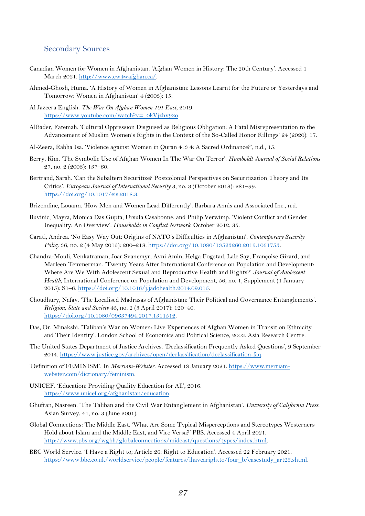## <span id="page-27-0"></span>Secondary Sources

- Canadian Women for Women in Afghanistan. 'Afghan Women in History: The 20th Century'. Accessed 1 March 2021. [http://www.cw4wafghan.ca/.](http://www.cw4wafghan.ca/)
- Ahmed-Ghosh, Huma. 'A History of Women in Afghanistan: Lessons Learnt for the Future or Yesterdays and Tomorrow: Women in Afghanistan' 4 (2003): 15.

Al Jazeera English. *The War On Afghan Women 101 East*, 2019. [https://www.youtube.com/watch?v=\\_0kVjzhy93o.](https://www.youtube.com/watch?v=_0kVjzhy93o)

- AlBader, Fatemah. 'Cultural Oppression Disguised as Religious Obligation: A Fatal Misrepresentation to the Advancement of Muslim Women's Rights in the Context of the So-Called Honor Killings' 24 (2020): 17.
- Al-Zeera, Rabha Isa. 'Violence against Women in Quran 4 :3 4: A Sacred Ordinance?', n.d., 15.
- Berry, Kim. 'The Symbolic Use of Afghan Women In The War On Terror'. *Humboldt Journal of Social Relations* 27, no. 2 (2003): 137–60.
- Bertrand, Sarah. 'Can the Subaltern Securitize? Postcolonial Perspectives on Securitization Theory and Its Critics'. *European Journal of International Security* 3, no. 3 (October 2018): 281–99. [https://doi.org/10.1017/eis.2018.3.](https://doi.org/10.1017/eis.2018.3)
- Brizendine, Louann. 'How Men and Women Lead Differently'. Barbara Annis and Associated Inc., n.d.
- Buvinic, Mayra, Monica Das Gupta, Ursula Casabonne, and Philip Verwimp. 'Violent Conflict and Gender Inequality: An Overview'. *Households in Conflict Network*, October 2012, 35.
- Carati, Andrea. 'No Easy Way Out: Origins of NATO's Difficulties in Afghanistan'. *Contemporary Security Policy* 36, no. 2 (4 May 2015): 200-218. [https://doi.org/10.1080/13523260.2015.1061753.](https://doi.org/10.1080/13523260.2015.1061753)
- Chandra-Mouli, Venkatraman, Joar Svanemyr, Avni Amin, Helga Fogstad, Lale Say, Françoise Girard, and Marleen Temmerman. 'Twenty Years After International Conference on Population and Development: Where Are We With Adolescent Sexual and Reproductive Health and Rights?' *Journal of Adolescent Health*, International Conference on Population and Development, 56, no. 1, Supplement (1 January 2015): S1–6. [https://doi.org/10.1016/j.jadohealth.2014.09.015.](https://doi.org/10.1016/j.jadohealth.2014.09.015)
- Choudhury, Nafay. 'The Localised Madrasas of Afghanistan: Their Political and Governance Entanglements'. *Religion, State and Society* 45, no. 2 (3 April 2017): 120–40. [https://doi.org/10.1080/09637494.2017.1311512.](https://doi.org/10.1080/09637494.2017.1311512)
- Das, Dr. Minakshi. 'Taliban's War on Women: Live Experiences of Afghan Women in Transit on Ethnicity and Their Identity'. London School of Economics and Political Science, 2003. Asia Research Centre.
- The United States Department of Justice Archives. 'Declassification Frequently Asked Questions', 9 September 2014. [https://www.justice.gov/archives/open/declassification/declassification-faq.](https://www.justice.gov/archives/open/declassification/declassification-faq)
- 'Definition of FEMINISM'. In *Merriam-Webster*. Accessed 18 January 2021. [https://www.merriam](https://www.merriam-webster.com/dictionary/feminism)[webster.com/dictionary/feminism.](https://www.merriam-webster.com/dictionary/feminism)
- UNICEF. 'Education: Providing Quality Education for All', 2016. [https://www.unicef.org/afghanistan/education.](https://www.unicef.org/afghanistan/education)
- Ghufran, Nasreen. 'The Taliban and the Civil War Entanglement in Afghanistan'. *University of California Press*, Asian Survey, 41, no. 3 (June 2001).
- Global Connections: The Middle East. 'What Are Some Typical Misperceptions and Stereotypes Westerners Hold about Islam and the Middle East, and Vice Versa?' PBS. Accessed 4 April 2021. [http://www.pbs.org/wgbh/globalconnections/mideast/questions/types/index.html.](http://www.pbs.org/wgbh/globalconnections/mideast/questions/types/index.html)
- BBC World Service. 'I Have a Right to; Article 26: Right to Education'. Accessed 22 February 2021. [https://www.bbc.co.uk/worldservice/people/features/ihavearightto/four\\_b/casestudy\\_art26.shtml.](https://www.bbc.co.uk/worldservice/people/features/ihavearightto/four_b/casestudy_art26.shtml)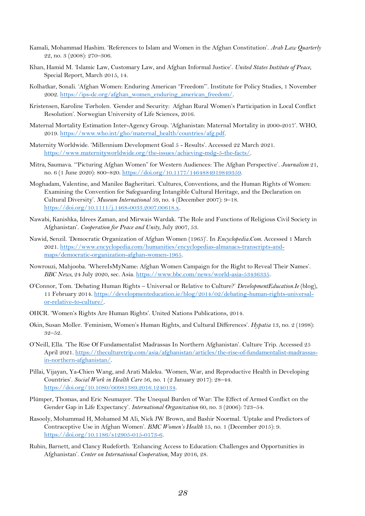- Kamali, Mohammad Hashim. 'References to Islam and Women in the Afghan Constitution'. *Arab Law Quarterly* 22, no. 3 (2008): 270–306.
- Khan, Hamid M. 'Islamic Law, Customary Law, and Afghan Informal Justice'. *United States Institute of Peace*, Special Report, March 2015, 14.
- Kolhatkar, Sonali. 'Afghan Women: Enduring American "Freedom"'. Institute for Policy Studies, 1 November 2002. [https://ips-dc.org/afghan\\_women\\_enduring\\_american\\_freedom/.](https://ips-dc.org/afghan_women_enduring_american_freedom/)
- Kristensen, Karoline Tørholen. 'Gender and Security: Afghan Rural Women's Participation in Local Conflict Resolution'. Norwegian University of Life Sciences, 2016.
- Maternal Mortality Estimation Inter-Agency Group. 'Afghanistan: Maternal Mortality in 2000-2017'. WHO, 2019. [https://www.who.int/gho/maternal\\_health/countries/afg.pdf.](https://www.who.int/gho/maternal_health/countries/afg.pdf)
- Maternity Worldwide. 'Millennium Development Goal 5 Results'. Accessed 22 March 2021. [https://www.maternityworldwide.org/the-issues/achieving-mdg-5-the-facts/.](https://www.maternityworldwide.org/the-issues/achieving-mdg-5-the-facts/)
- Mitra, Saumava. '"Picturing Afghan Women" for Western Audiences: The Afghan Perspective'. *Journalism* 21, no. 6 (1 June 2020): 800–820. [https://doi.org/10.1177/1464884919849359.](https://doi.org/10.1177/1464884919849359)
- Moghadam, Valentine, and Manilee Bagheritari. 'Cultures, Conventions, and the Human Rights of Women: Examining the Convention for Safeguarding Intangible Cultural Heritage, and the Declaration on Cultural Diversity'. *Museum International* 59, no. 4 (December 2007): 9–18. [https://doi.org/10.1111/j.1468-0033.2007.00618.x.](https://doi.org/10.1111/j.1468-0033.2007.00618.x)
- Nawabi, Kanishka, Idrees Zaman, and Mirwais Wardak. 'The Role and Functions of Religious Civil Society in Afghanistan'. *Cooperation for Peace and Unity*, July 2007, 53.
- Nawid, Senzil. 'Democratic Organization of Afghan Women (1965)'. In *Encyclopedia.Com*. Accessed 1 March 2021. [https://www.encyclopedia.com/humanities/encyclopedias-almanacs-transcripts-and](https://www.encyclopedia.com/humanities/encyclopedias-almanacs-transcripts-and-maps/democratic-organization-afghan-women-1965)[maps/democratic-organization-afghan-women-1965.](https://www.encyclopedia.com/humanities/encyclopedias-almanacs-transcripts-and-maps/democratic-organization-afghan-women-1965)
- Nowrouzi, Mahjooba. 'WhereIsMyName: Afghan Women Campaign for the Right to Reveal Their Names'. *BBC News*, 24 July 2020, sec. Asia. [https://www.bbc.com/news/world-asia-53436335.](https://www.bbc.com/news/world-asia-53436335)
- O'Connor, Tom. 'Debating Human Rights Universal or Relative to Culture?' *DevelopmentEducation.Ie* (blog), 11 February 2014[. https://developmenteducation.ie/blog/2014/02/debating-human-rights-universal](https://developmenteducation.ie/blog/2014/02/debating-human-rights-universal-or-relative-to-culture/)[or-relative-to-culture/.](https://developmenteducation.ie/blog/2014/02/debating-human-rights-universal-or-relative-to-culture/)
- OHCR. 'Women's Rights Are Human Rights'. United Nations Publications, 2014.
- Okin, Susan Moller. 'Feminism, Women's Human Rights, and Cultural Differences'. *Hypatia* 13, no. 2 (1998): 32–52.
- O'Neill, Ella. 'The Rise Of Fundamentalist Madrassas In Northern Afghanistan'. Culture Trip. Accessed 25 April 2021. [https://theculturetrip.com/asia/afghanistan/articles/the-rise-of-fundamentalist-madrassas](https://theculturetrip.com/asia/afghanistan/articles/the-rise-of-fundamentalist-madrassas-in-northern-afghanistan/)[in-northern-afghanistan/.](https://theculturetrip.com/asia/afghanistan/articles/the-rise-of-fundamentalist-madrassas-in-northern-afghanistan/)
- Pillai, Vijayan, Ya-Chien Wang, and Arati Maleku. 'Women, War, and Reproductive Health in Developing Countries'. *Social Work in Health Care* 56, no. 1 (2 January 2017): 28–44. [https://doi.org/10.1080/00981389.2016.1240134.](https://doi.org/10.1080/00981389.2016.1240134)
- Plümper, Thomas, and Eric Neumayer. 'The Unequal Burden of War: The Effect of Armed Conflict on the Gender Gap in Life Expectancy'. *International Organization* 60, no. 3 (2006): 723–54.
- Rasooly, Mohammad H, Mohamed M Ali, Nick JW Brown, and Bashir Noormal. 'Uptake and Predictors of Contraceptive Use in Afghan Women'. *BMC Women's Health* 15, no. 1 (December 2015): 9. [https://doi.org/10.1186/s12905-015-0173-6.](https://doi.org/10.1186/s12905-015-0173-6)
- Rubin, Barnett, and Clancy Rudeforth. 'Enhancing Access to Education: Challenges and Opportunities in Afghanistan'. *Center on International Cooperation*, May 2016, 28.